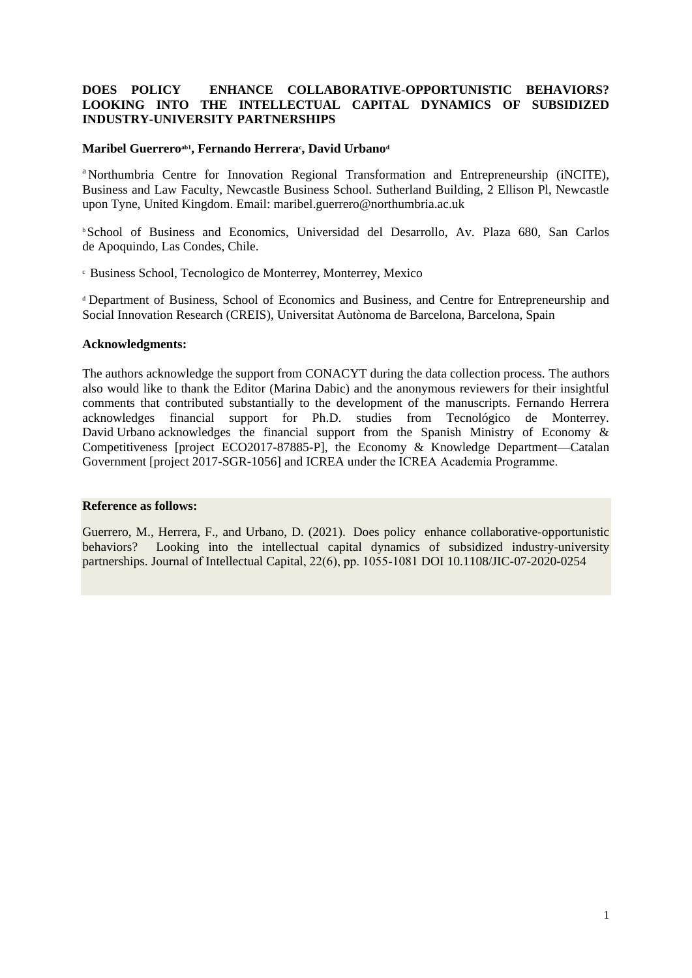## **DOES POLICY ENHANCE COLLABORATIVE-OPPORTUNISTIC BEHAVIORS? LOOKING INTO THE INTELLECTUAL CAPITAL DYNAMICS OF SUBSIDIZED INDUSTRY-UNIVERSITY PARTNERSHIPS**

### **Maribel Guerreroab1 , Fernando Herrera<sup>c</sup> , David Urbano<sup>d</sup>**

<sup>a</sup> Northumbria Centre for Innovation Regional Transformation and Entrepreneurship (iNCITE), Business and Law Faculty, Newcastle Business School. Sutherland Building, 2 Ellison Pl, Newcastle upon Tyne, United Kingdom. Email: [maribel.guerrero@northumbria.ac.uk](mailto:maribel.guerrero@northumbria.ac.uk) 

<sup>b</sup>School of Business and Economics, Universidad del Desarrollo, Av. Plaza 680, San Carlos de Apoquindo, Las Condes, Chile.

<sup>c</sup> Business School, Tecnologico de Monterrey, Monterrey, Mexico

<sup>d</sup>Department of Business, School of Economics and Business, and Centre for Entrepreneurship and Social Innovation Research (CREIS), Universitat Autònoma de Barcelona, Barcelona, Spain

#### **Acknowledgments:**

The authors acknowledge the support from CONACYT during the data collection process. The authors also would like to thank the Editor (Marina Dabic) and the anonymous reviewers for their insightful comments that contributed substantially to the development of the manuscripts. Fernando Herrera acknowledges financial support for Ph.D. studies from Tecnológico de Monterrey. David Urbano acknowledges the financial support from the Spanish Ministry of Economy & Competitiveness [project ECO2017-87885-P], the Economy & Knowledge Department—Catalan Government [project 2017-SGR-1056] and ICREA under the ICREA Academia Programme.  

#### **Reference as follows:**

Guerrero, M., Herrera, F., and Urbano, D. (2021). Does policy enhance collaborative-opportunistic behaviors? Looking into the intellectual capital dynamics of subsidized industry-university partnerships. Journal of Intellectual Capital, 22(6), pp. 1055-1081 DOI 10.1108/JIC-07-2020-0254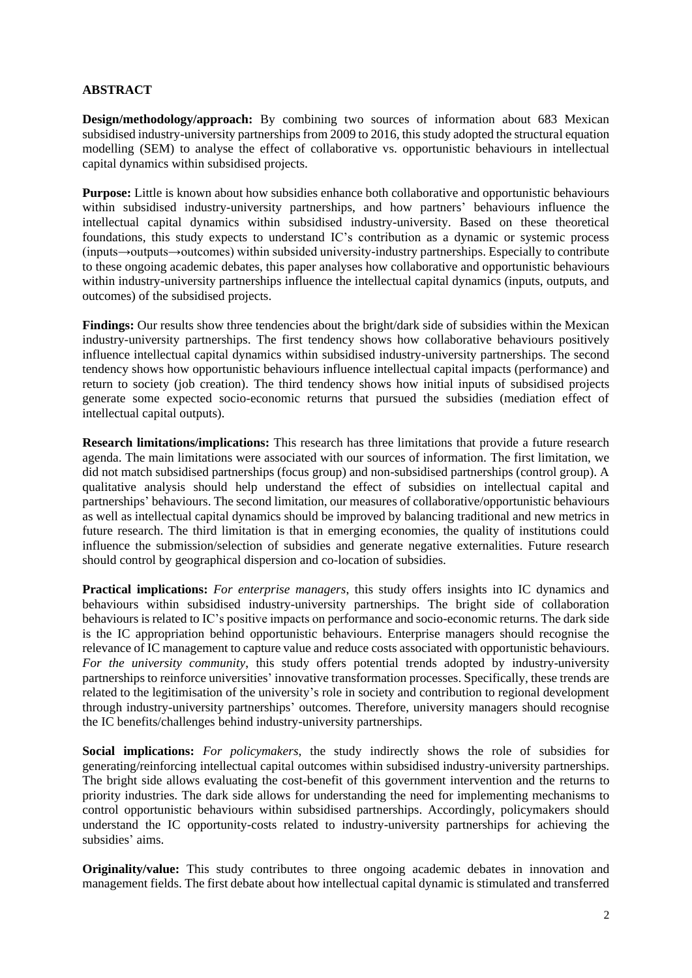## **ABSTRACT**

**Design/methodology/approach:** By combining two sources of information about 683 Mexican subsidised industry-university partnerships from 2009 to 2016, this study adopted the structural equation modelling (SEM) to analyse the effect of collaborative vs. opportunistic behaviours in intellectual capital dynamics within subsidised projects.

**Purpose:** Little is known about how subsidies enhance both collaborative and opportunistic behaviours within subsidised industry-university partnerships, and how partners' behaviours influence the intellectual capital dynamics within subsidised industry-university. Based on these theoretical foundations, this study expects to understand IC's contribution as a dynamic or systemic process (inputs→outputs→outcomes) within subsided university-industry partnerships. Especially to contribute to these ongoing academic debates, this paper analyses how collaborative and opportunistic behaviours within industry-university partnerships influence the intellectual capital dynamics (inputs, outputs, and outcomes) of the subsidised projects.

**Findings:** Our results show three tendencies about the bright/dark side of subsidies within the Mexican industry-university partnerships. The first tendency shows how collaborative behaviours positively influence intellectual capital dynamics within subsidised industry-university partnerships. The second tendency shows how opportunistic behaviours influence intellectual capital impacts (performance) and return to society (job creation). The third tendency shows how initial inputs of subsidised projects generate some expected socio-economic returns that pursued the subsidies (mediation effect of intellectual capital outputs).

**Research limitations/implications:** This research has three limitations that provide a future research agenda. The main limitations were associated with our sources of information. The first limitation, we did not match subsidised partnerships (focus group) and non-subsidised partnerships (control group). A qualitative analysis should help understand the effect of subsidies on intellectual capital and partnerships' behaviours. The second limitation, our measures of collaborative/opportunistic behaviours as well as intellectual capital dynamics should be improved by balancing traditional and new metrics in future research. The third limitation is that in emerging economies, the quality of institutions could influence the submission/selection of subsidies and generate negative externalities. Future research should control by geographical dispersion and co-location of subsidies.

**Practical implications:** *For enterprise managers*, this study offers insights into IC dynamics and behaviours within subsidised industry-university partnerships. The bright side of collaboration behaviours is related to IC's positive impacts on performance and socio-economic returns. The dark side is the IC appropriation behind opportunistic behaviours. Enterprise managers should recognise the relevance of IC management to capture value and reduce costs associated with opportunistic behaviours. *For the university community*, this study offers potential trends adopted by industry-university partnerships to reinforce universities' innovative transformation processes. Specifically, these trends are related to the legitimisation of the university's role in society and contribution to regional development through industry-university partnerships' outcomes. Therefore, university managers should recognise the IC benefits/challenges behind industry-university partnerships.

**Social implications:** *For policymakers*, the study indirectly shows the role of subsidies for generating/reinforcing intellectual capital outcomes within subsidised industry-university partnerships. The bright side allows evaluating the cost-benefit of this government intervention and the returns to priority industries. The dark side allows for understanding the need for implementing mechanisms to control opportunistic behaviours within subsidised partnerships. Accordingly, policymakers should understand the IC opportunity-costs related to industry-university partnerships for achieving the subsidies' aims.

**Originality/value:** This study contributes to three ongoing academic debates in innovation and management fields. The first debate about how intellectual capital dynamic is stimulated and transferred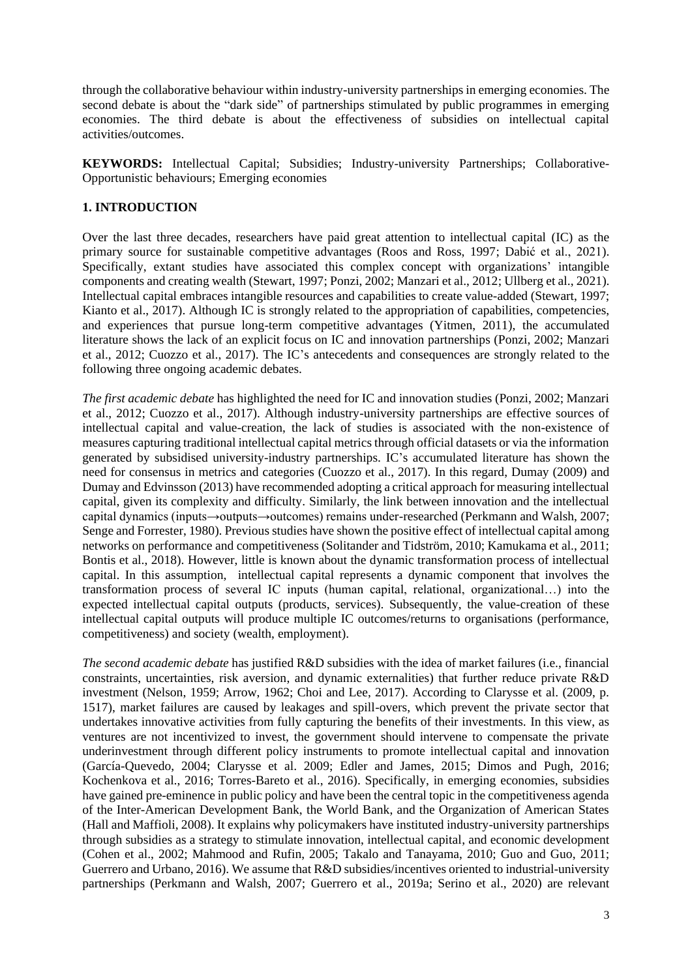through the collaborative behaviour within industry-university partnerships in emerging economies. The second debate is about the "dark side" of partnerships stimulated by public programmes in emerging economies. The third debate is about the effectiveness of subsidies on intellectual capital activities/outcomes.

**KEYWORDS:** Intellectual Capital; Subsidies; Industry-university Partnerships; Collaborative-Opportunistic behaviours; Emerging economies

## **1. INTRODUCTION**

Over the last three decades, researchers have paid great attention to intellectual capital (IC) as the primary source for sustainable competitive advantages (Roos and Ross, 1997; Dabić et al., 2021). Specifically, extant studies have associated this complex concept with organizations' intangible components and creating wealth (Stewart, 1997; Ponzi, 2002; Manzari et al., 2012; Ullberg et al., 2021). Intellectual capital embraces intangible resources and capabilities to create value-added (Stewart, 1997; Kianto et al., 2017). Although IC is strongly related to the appropriation of capabilities, competencies, and experiences that pursue long-term competitive advantages (Yitmen, 2011), the accumulated literature shows the lack of an explicit focus on IC and innovation partnerships (Ponzi, 2002; Manzari et al., 2012; Cuozzo et al., 2017). The IC's antecedents and consequences are strongly related to the following three ongoing academic debates.

*The first academic debate* has highlighted the need for IC and innovation studies (Ponzi, 2002; Manzari et al., 2012; Cuozzo et al., 2017). Although industry-university partnerships are effective sources of intellectual capital and value-creation, the lack of studies is associated with the non-existence of measures capturing traditional intellectual capital metrics through official datasets or via the information generated by subsidised university-industry partnerships. IC's accumulated literature has shown the need for consensus in metrics and categories (Cuozzo et al., 2017). In this regard, Dumay (2009) and Dumay and Edvinsson (2013) have recommended adopting a critical approach for measuring intellectual capital, given its complexity and difficulty. Similarly, the link between innovation and the intellectual capital dynamics (inputs→outputs→outcomes) remains under-researched (Perkmann and Walsh, 2007; Senge and Forrester, 1980). Previous studies have shown the positive effect of intellectual capital among networks on performance and competitiveness (Solitander and Tidström, 2010; Kamukama et al., 2011; Bontis et al., 2018). However, little is known about the dynamic transformation process of intellectual capital. In this assumption, intellectual capital represents a dynamic component that involves the transformation process of several IC inputs (human capital, relational, organizational…) into the expected intellectual capital outputs (products, services). Subsequently, the value-creation of these intellectual capital outputs will produce multiple IC outcomes/returns to organisations (performance, competitiveness) and society (wealth, employment).

*The second academic debate* has justified R&D subsidies with the idea of market failures (i.e., financial constraints, uncertainties, risk aversion, and dynamic externalities) that further reduce private R&D investment (Nelson, 1959; Arrow, 1962; Choi and Lee, 2017). According to Clarysse et al. (2009, p. 1517), market failures are caused by leakages and spill-overs, which prevent the private sector that undertakes innovative activities from fully capturing the benefits of their investments. In this view, as ventures are not incentivized to invest, the government should intervene to compensate the private underinvestment through different policy instruments to promote intellectual capital and innovation (García-Quevedo, 2004; Clarysse et al. 2009; Edler and James, 2015; Dimos and Pugh, 2016; Kochenkova et al., 2016; Torres-Bareto et al., 2016). Specifically, in emerging economies, subsidies have gained pre-eminence in public policy and have been the central topic in the competitiveness agenda of the Inter-American Development Bank, the World Bank, and the Organization of American States (Hall and Maffioli, 2008). It explains why policymakers have instituted industry-university partnerships through subsidies as a strategy to stimulate innovation, intellectual capital, and economic development (Cohen et al., 2002; Mahmood and Rufin, 2005; Takalo and Tanayama, 2010; Guo and Guo, 2011; Guerrero and Urbano, 2016). We assume that R&D subsidies/incentives oriented to industrial-university partnerships (Perkmann and Walsh, 2007; Guerrero et al., 2019a; Serino et al., 2020) are relevant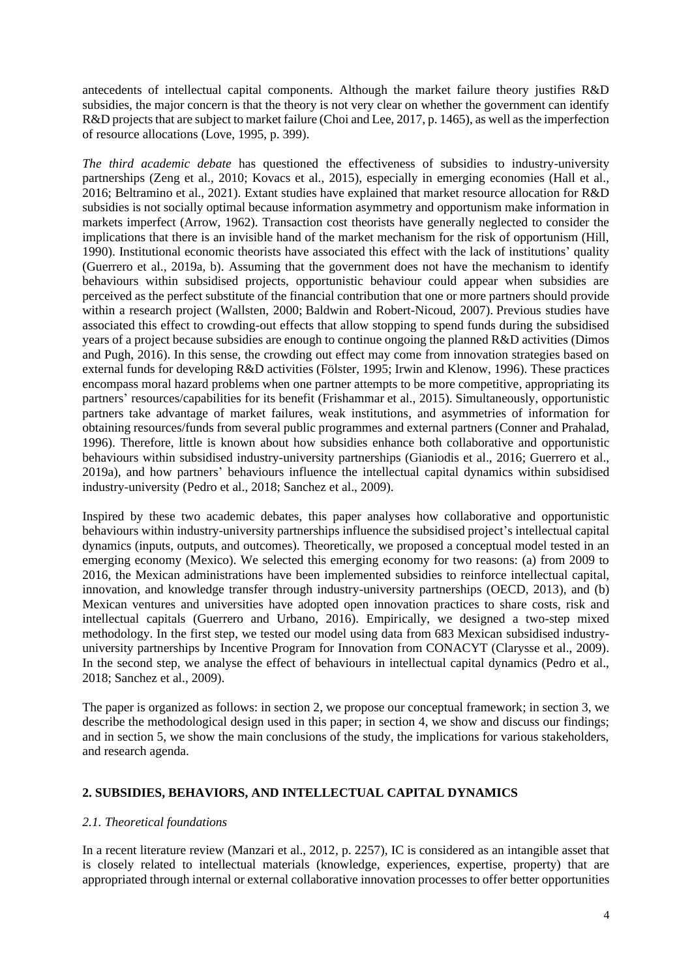antecedents of intellectual capital components. Although the market failure theory justifies R&D subsidies, the major concern is that the theory is not very clear on whether the government can identify R&D projects that are subject to market failure (Choi and Lee, 2017, p. 1465), as well as the imperfection of resource allocations (Love, 1995, p. 399).

*The third academic debate* has questioned the effectiveness of subsidies to industry-university partnerships (Zeng et al., 2010; Kovacs et al., 2015), especially in emerging economies (Hall et al., 2016; Beltramino et al., 2021). Extant studies have explained that market resource allocation for R&D subsidies is not socially optimal because information asymmetry and opportunism make information in markets imperfect (Arrow, 1962). Transaction cost theorists have generally neglected to consider the implications that there is an invisible hand of the market mechanism for the risk of opportunism (Hill, 1990). Institutional economic theorists have associated this effect with the lack of institutions' quality (Guerrero et al., 2019a, b). Assuming that the government does not have the mechanism to identify behaviours within subsidised projects, opportunistic behaviour could appear when subsidies are perceived as the perfect substitute of the financial contribution that one or more partners should provide within a research project [\(Wallsten, 2000;](https://www.emerald.com/insight/content/doi/10.1108/MD-10-2018-1126/full/html#ref081) [Baldwin and Robert-Nicoud, 2007\)](https://www.emerald.com/insight/content/doi/10.1108/MD-10-2018-1126/full/html#ref011). Previous studies have associated this effect to crowding-out effects that allow stopping to spend funds during the subsidised years of a project because subsidies are enough to continue ongoing the planned R&D activities [\(Dimos](https://www.emerald.com/insight/content/doi/10.1108/MD-10-2018-1126/full/html#ref029)  [and Pugh, 2016\)](https://www.emerald.com/insight/content/doi/10.1108/MD-10-2018-1126/full/html#ref029). In this sense, the crowding out effect may come from innovation strategies based on external funds for developing R&D activities [\(Fölster, 1995;](https://www.emerald.com/insight/content/doi/10.1108/MD-10-2018-1126/full/html#ref034) [Irwin and Klenow, 1996\)](https://www.emerald.com/insight/content/doi/10.1108/MD-10-2018-1126/full/html#ref050). These practices encompass moral hazard problems when one partner attempts to be more competitive, appropriating its partners' resources/capabilities for its benefit [\(Frishammar](https://www.emerald.com/insight/content/doi/10.1108/MD-10-2018-1126/full/html#ref035) et al., 2015). Simultaneously, opportunistic partners take advantage of market failures, weak institutions, and asymmetries of information for obtaining resources/funds from several public programmes and external partners [\(Conner and Prahalad,](https://www.emerald.com/insight/content/doi/10.1108/MD-10-2018-1126/full/html#ref024)  [1996\)](https://www.emerald.com/insight/content/doi/10.1108/MD-10-2018-1126/full/html#ref024). Therefore, little is known about how subsidies enhance both collaborative and opportunistic behaviours within subsidised industry-university partnerships (Gianiodis et al., 2016; Guerrero et al., 2019a), and how partners' behaviours influence the intellectual capital dynamics within subsidised industry-university (Pedro et al., 2018; Sanchez et al., 2009).

Inspired by these two academic debates, this paper analyses how collaborative and opportunistic behaviours within industry-university partnerships influence the subsidised project's intellectual capital dynamics (inputs, outputs, and outcomes). Theoretically, we proposed a conceptual model tested in an emerging economy (Mexico). We selected this emerging economy for two reasons: (a) from 2009 to 2016, the Mexican administrations have been implemented subsidies to reinforce intellectual capital, innovation, and knowledge transfer through industry-university partnerships (OECD, 2013), and (b) Mexican ventures and universities have adopted open innovation practices to share costs, risk and intellectual capitals (Guerrero and Urbano, 2016). Empirically, we designed a two-step mixed methodology. In the first step, we tested our model using data from 683 Mexican subsidised industryuniversity partnerships by Incentive Program for Innovation from CONACYT (Clarysse et al., 2009). In the second step, we analyse the effect of behaviours in intellectual capital dynamics (Pedro et al., 2018; Sanchez et al., 2009).

The paper is organized as follows: in section 2, we propose our conceptual framework; in section 3, we describe the methodological design used in this paper; in section 4, we show and discuss our findings; and in section 5, we show the main conclusions of the study, the implications for various stakeholders, and research agenda.

## **2. SUBSIDIES, BEHAVIORS, AND INTELLECTUAL CAPITAL DYNAMICS**

## *2.1. Theoretical foundations*

In a recent literature review (Manzari et al., 2012, p. 2257), IC is considered as an intangible asset that is closely related to intellectual materials (knowledge, experiences, expertise, property) that are appropriated through internal or external collaborative innovation processes to offer better opportunities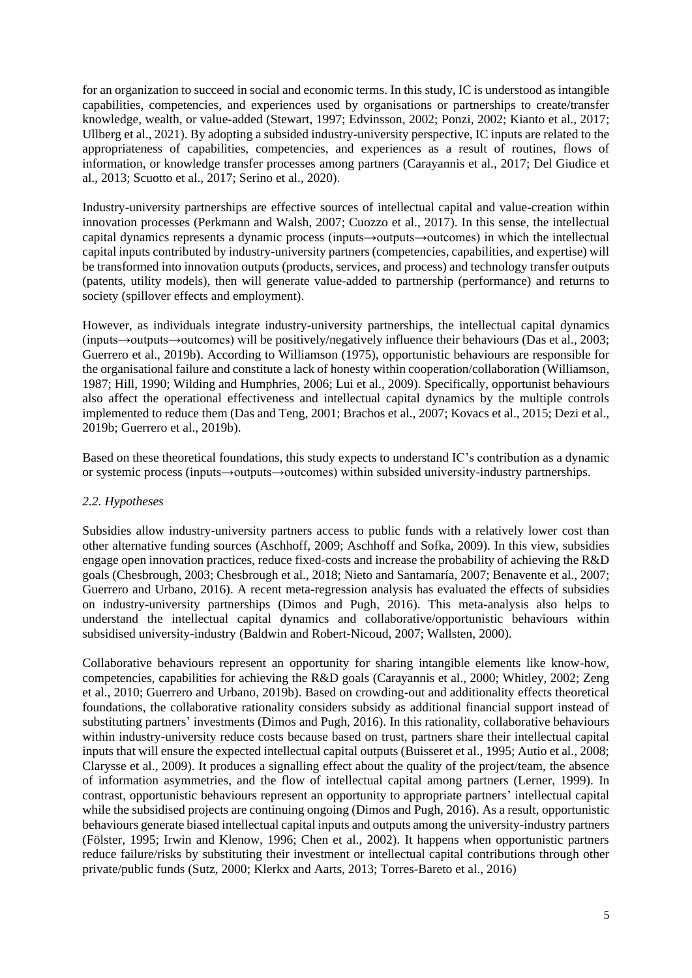for an organization to succeed in social and economic terms. In this study, IC is understood as intangible capabilities, competencies, and experiences used by organisations or partnerships to create/transfer knowledge, wealth, or value-added (Stewart, 1997; Edvinsson, 2002; Ponzi, 2002; Kianto et al., 2017; Ullberg et al., 2021). By adopting a subsided industry-university perspective, IC inputs are related to the appropriateness of capabilities, competencies, and experiences as a result of routines, flows of information, or knowledge transfer processes among partners (Carayannis et al., 2017; Del Giudice et al., 2013; Scuotto et al., 2017; Serino et al., 2020).

Industry-university partnerships are effective sources of intellectual capital and value-creation within innovation processes (Perkmann and Walsh, 2007; Cuozzo et al., 2017). In this sense, the intellectual capital dynamics represents a dynamic process (inputs→outputs→outcomes) in which the intellectual capital inputs contributed by industry-university partners (competencies, capabilities, and expertise) will be transformed into innovation outputs (products, services, and process) and technology transfer outputs (patents, utility models), then will generate value-added to partnership (performance) and returns to society (spillover effects and employment).

However, as individuals integrate industry-university partnerships, the intellectual capital dynamics (inputs→outputs→outcomes) will be positively/negatively influence their behaviours (Das et al., 2003; Guerrero et al., 2019b). According to Williamson (1975), opportunistic behaviours are responsible for the organisational failure and constitute a lack of honesty within cooperation/collaboration (Williamson, 1987; Hill, 1990; Wilding and Humphries, 2006; Lui et al., 2009). Specifically, opportunist behaviours also affect the operational effectiveness and intellectual capital dynamics by the multiple controls implemented to reduce them (Das and Teng, 2001; Brachos et al., 2007; Kovacs et al., 2015; Dezi et al., 2019b; Guerrero et al., 2019b).

Based on these theoretical foundations, this study expects to understand IC's contribution as a dynamic or systemic process (inputs→outputs→outcomes) within subsided university-industry partnerships.

## *2.2. Hypotheses*

Subsidies allow industry-university partners access to public funds with a relatively lower cost than other alternative funding sources (Aschhoff, 2009; Aschhoff and Sofka, 2009). In this view, subsidies engage open innovation practices, reduce fixed-costs and increase the probability of achieving the R&D goals (Chesbrough, 2003; Chesbrough et al., 2018; Nieto and Santamaría, 2007; Benavente et al., 2007; Guerrero and Urbano, 2016). A recent meta-regression analysis has evaluated the effects of subsidies on industry-university partnerships (Dimos and Pugh, 2016). This meta-analysis also helps to understand the intellectual capital dynamics and collaborative/opportunistic behaviours within subsidised university-industry (Baldwin and Robert-Nicoud, 2007; Wallsten, 2000).

Collaborative behaviours represent an opportunity for sharing intangible elements like know-how, competencies, capabilities for achieving the R&D goals (Carayannis et al., 2000; Whitley, 2002; Zeng et al., 2010; Guerrero and Urbano, 2019b). Based on crowding-out and additionality effects theoretical foundations, the collaborative rationality considers subsidy as additional financial support instead of substituting partners' investments (Dimos and Pugh, 2016). In this rationality, collaborative behaviours within industry-university reduce costs because based on trust, partners share their intellectual capital inputs that will ensure the expected intellectual capital outputs (Buisseret et al., 1995; Autio et al., 2008; Clarysse et al., 2009). It produces a signalling effect about the quality of the project/team, the absence of information asymmetries, and the flow of intellectual capital among partners (Lerner, 1999). In contrast, opportunistic behaviours represent an opportunity to appropriate partners' intellectual capital while the subsidised projects are continuing ongoing (Dimos and Pugh, 2016). As a result, opportunistic behaviours generate biased intellectual capital inputs and outputs among the university-industry partners (Fölster, 1995; Irwin and Klenow, 1996; Chen et al., 2002). It happens when opportunistic partners reduce failure/risks by substituting their investment or intellectual capital contributions through other private/public funds (Sutz, 2000; Klerkx and Aarts, 2013; Torres-Bareto et al., 2016)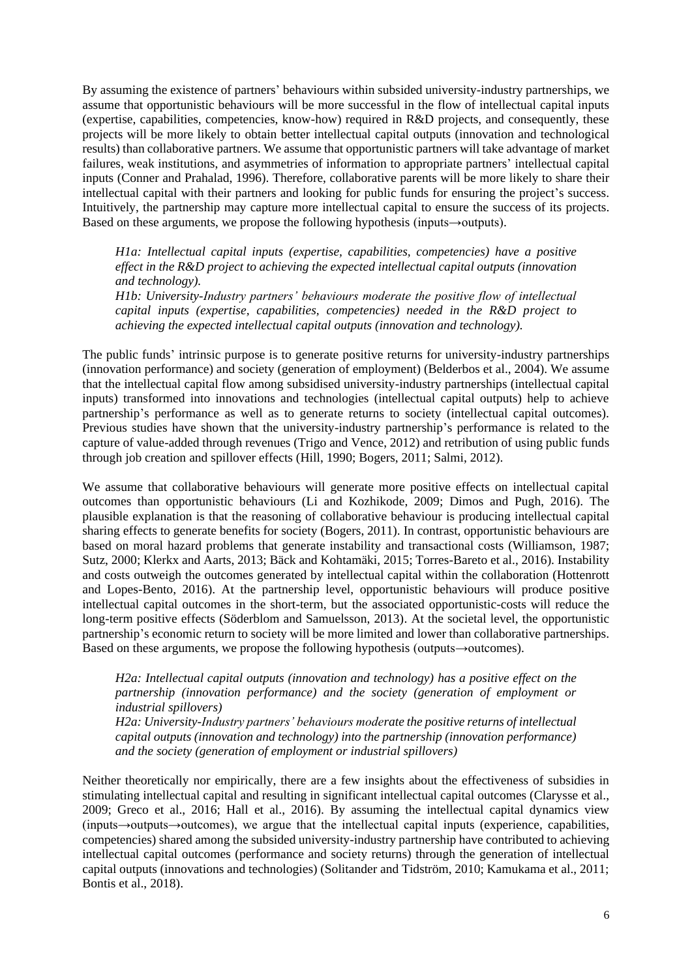By assuming the existence of partners' behaviours within subsided university-industry partnerships, we assume that opportunistic behaviours will be more successful in the flow of intellectual capital inputs (expertise, capabilities, competencies, know-how) required in R&D projects, and consequently, these projects will be more likely to obtain better intellectual capital outputs (innovation and technological results) than collaborative partners. We assume that opportunistic partners will take advantage of market failures, weak institutions, and asymmetries of information to appropriate partners' intellectual capital inputs (Conner and Prahalad, 1996). Therefore, collaborative parents will be more likely to share their intellectual capital with their partners and looking for public funds for ensuring the project's success. Intuitively, the partnership may capture more intellectual capital to ensure the success of its projects. Based on these arguments, we propose the following hypothesis (inputs→outputs).

*H1a: Intellectual capital inputs (expertise, capabilities, competencies) have a positive effect in the R&D project to achieving the expected intellectual capital outputs (innovation and technology). H1b: University-Industry partners' behaviours moderate the positive flow of intellectual* 

*capital inputs (expertise, capabilities, competencies) needed in the R&D project to achieving the expected intellectual capital outputs (innovation and technology).* 

The public funds' intrinsic purpose is to generate positive returns for university-industry partnerships (innovation performance) and society (generation of employment) (Belderbos et al., 2004). We assume that the intellectual capital flow among subsidised university-industry partnerships (intellectual capital inputs) transformed into innovations and technologies (intellectual capital outputs) help to achieve partnership's performance as well as to generate returns to society (intellectual capital outcomes). Previous studies have shown that the university-industry partnership's performance is related to the capture of value-added through revenues (Trigo and Vence, 2012) and retribution of using public funds through job creation and spillover effects (Hill, 1990; Bogers, 2011; Salmi, 2012).

We assume that collaborative behaviours will generate more positive effects on intellectual capital outcomes than opportunistic behaviours (Li and Kozhikode, 2009; Dimos and Pugh, 2016). The plausible explanation is that the reasoning of collaborative behaviour is producing intellectual capital sharing effects to generate benefits for society (Bogers, 2011). In contrast, opportunistic behaviours are based on moral hazard problems that generate instability and transactional costs (Williamson, 1987; Sutz, 2000; Klerkx and Aarts, 2013; Bäck and Kohtamäki, 2015; Torres-Bareto et al., 2016). Instability and costs outweigh the outcomes generated by intellectual capital within the collaboration (Hottenrott and Lopes-Bento, 2016). At the partnership level, opportunistic behaviours will produce positive intellectual capital outcomes in the short-term, but the associated opportunistic-costs will reduce the long-term positive effects (Söderblom and Samuelsson, 2013). At the societal level, the opportunistic partnership's economic return to society will be more limited and lower than collaborative partnerships. Based on these arguments, we propose the following hypothesis (outputs→outcomes).

*H2a: Intellectual capital outputs (innovation and technology) has a positive effect on the partnership (innovation performance) and the society (generation of employment or industrial spillovers)* 

*H2a: University-Industry partners' behaviours moderate the positive returns of intellectual capital outputs (innovation and technology) into the partnership (innovation performance) and the society (generation of employment or industrial spillovers)* 

Neither theoretically nor empirically, there are a few insights about the effectiveness of subsidies in stimulating intellectual capital and resulting in significant intellectual capital outcomes (Clarysse et al., 2009; Greco et al., 2016; Hall et al., 2016). By assuming the intellectual capital dynamics view (inputs→outputs→outcomes), we argue that the intellectual capital inputs (experience, capabilities, competencies) shared among the subsided university-industry partnership have contributed to achieving intellectual capital outcomes (performance and society returns) through the generation of intellectual capital outputs (innovations and technologies) (Solitander and Tidström, 2010; Kamukama et al., 2011; Bontis et al., 2018).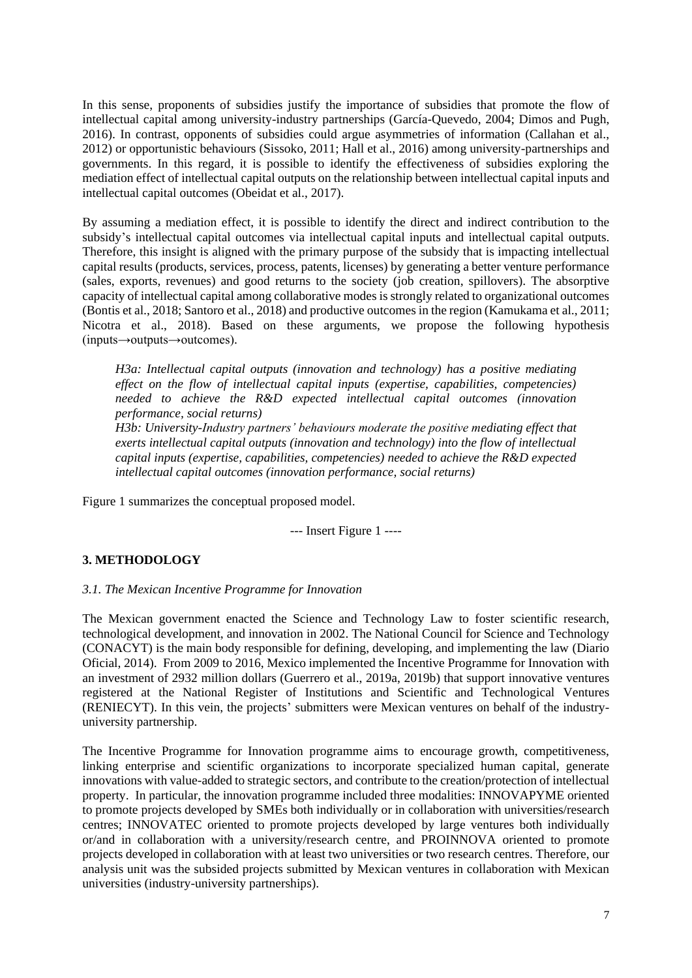In this sense, proponents of subsidies justify the importance of subsidies that promote the flow of intellectual capital among university-industry partnerships (García-Quevedo, 2004; Dimos and Pugh, 2016). In contrast, opponents of subsidies could argue asymmetries of information (Callahan et al., 2012) or opportunistic behaviours (Sissoko, 2011; Hall et al., 2016) among university-partnerships and governments. In this regard, it is possible to identify the effectiveness of subsidies exploring the mediation effect of intellectual capital outputs on the relationship between intellectual capital inputs and intellectual capital outcomes (Obeidat et al., 2017).

By assuming a mediation effect, it is possible to identify the direct and indirect contribution to the subsidy's intellectual capital outcomes via intellectual capital inputs and intellectual capital outputs. Therefore, this insight is aligned with the primary purpose of the subsidy that is impacting intellectual capital results (products, services, process, patents, licenses) by generating a better venture performance (sales, exports, revenues) and good returns to the society (job creation, spillovers). The absorptive capacity of intellectual capital among collaborative modes is strongly related to organizational outcomes (Bontis et al., 2018; Santoro et al., 2018) and productive outcomes in the region (Kamukama et al., 2011; Nicotra et al., 2018). Based on these arguments, we propose the following hypothesis (inputs→outputs→outcomes).

*H3a: Intellectual capital outputs (innovation and technology) has a positive mediating effect on the flow of intellectual capital inputs (expertise, capabilities, competencies) needed to achieve the R&D expected intellectual capital outcomes (innovation performance, social returns)*

*H3b: University-Industry partners' behaviours moderate the positive mediating effect that exerts intellectual capital outputs (innovation and technology) into the flow of intellectual capital inputs (expertise, capabilities, competencies) needed to achieve the R&D expected intellectual capital outcomes (innovation performance, social returns)*

Figure 1 summarizes the conceptual proposed model.

--- Insert Figure 1 ----

## **3. METHODOLOGY**

## *3.1. The Mexican Incentive Programme for Innovation*

The Mexican government enacted the Science and Technology Law to foster scientific research, technological development, and innovation in 2002. The National Council for Science and Technology (CONACYT) is the main body responsible for defining, developing, and implementing the law (Diario Oficial, 2014). From 2009 to 2016, Mexico implemented the Incentive Programme for Innovation with an investment of 2932 million dollars (Guerrero et al., 2019a, 2019b) that support innovative ventures registered at the National Register of Institutions and Scientific and Technological Ventures (RENIECYT). In this vein, the projects' submitters were Mexican ventures on behalf of the industryuniversity partnership.

The Incentive Programme for Innovation programme aims to encourage growth, competitiveness, linking enterprise and scientific organizations to incorporate specialized human capital, generate innovations with value-added to strategic sectors, and contribute to the creation/protection of intellectual property. In particular, the innovation programme included three modalities: INNOVAPYME oriented to promote projects developed by SMEs both individually or in collaboration with universities/research centres; INNOVATEC oriented to promote projects developed by large ventures both individually or/and in collaboration with a university/research centre, and PROINNOVA oriented to promote projects developed in collaboration with at least two universities or two research centres. Therefore, our analysis unit was the subsided projects submitted by Mexican ventures in collaboration with Mexican universities (industry-university partnerships).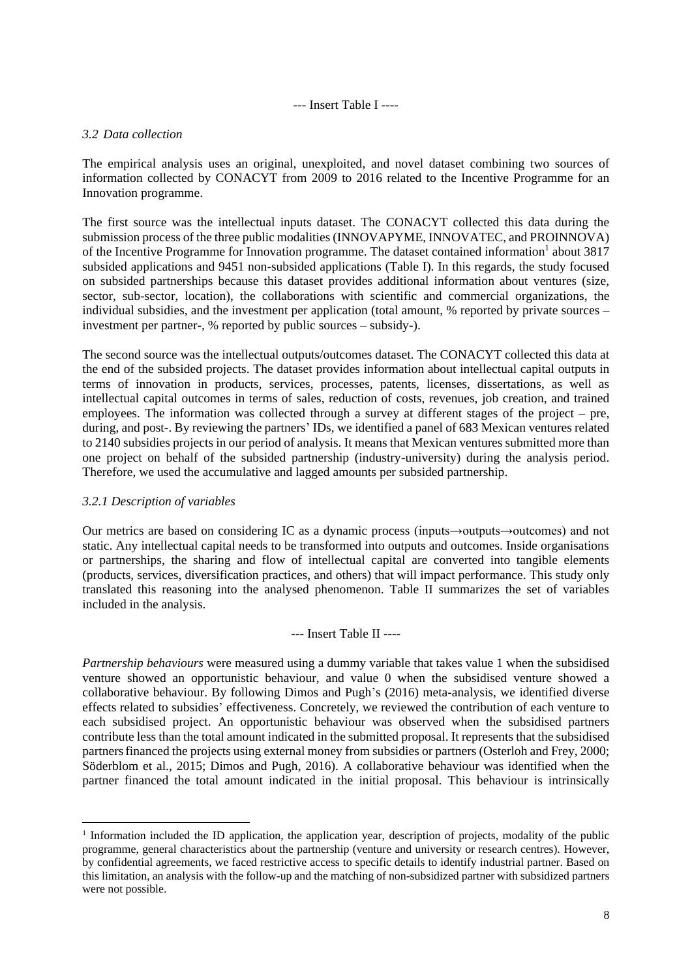--- Insert Table I ----

## *3.2 Data collection*

The empirical analysis uses an original, unexploited, and novel dataset combining two sources of information collected by CONACYT from 2009 to 2016 related to the Incentive Programme for an Innovation programme.

The first source was the intellectual inputs dataset. The CONACYT collected this data during the submission process of the three public modalities (INNOVAPYME, INNOVATEC, and PROINNOVA) of the Incentive Programme for Innovation programme. The dataset contained information<sup>1</sup> about 3817 subsided applications and 9451 non-subsided applications (Table I). In this regards, the study focused on subsided partnerships because this dataset provides additional information about ventures (size, sector, sub-sector, location), the collaborations with scientific and commercial organizations, the individual subsidies, and the investment per application (total amount, % reported by private sources – investment per partner-, % reported by public sources – subsidy-).

The second source was the intellectual outputs/outcomes dataset. The CONACYT collected this data at the end of the subsided projects. The dataset provides information about intellectual capital outputs in terms of innovation in products, services, processes, patents, licenses, dissertations, as well as intellectual capital outcomes in terms of sales, reduction of costs, revenues, job creation, and trained employees. The information was collected through a survey at different stages of the project – pre, during, and post-. By reviewing the partners' IDs, we identified a panel of 683 Mexican ventures related to 2140 subsidies projects in our period of analysis. It means that Mexican ventures submitted more than one project on behalf of the subsided partnership (industry-university) during the analysis period. Therefore, we used the accumulative and lagged amounts per subsided partnership.

## *3.2.1 Description of variables*

Our metrics are based on considering IC as a dynamic process (inputs→outputs→outcomes) and not static. Any intellectual capital needs to be transformed into outputs and outcomes. Inside organisations or partnerships, the sharing and flow of intellectual capital are converted into tangible elements (products, services, diversification practices, and others) that will impact performance. This study only translated this reasoning into the analysed phenomenon. Table II summarizes the set of variables included in the analysis.

#### --- Insert Table II ----

*Partnership behaviours* were measured using a dummy variable that takes value 1 when the subsidised venture showed an opportunistic behaviour, and value 0 when the subsidised venture showed a collaborative behaviour. By following Dimos and Pugh's (2016) meta-analysis, we identified diverse effects related to subsidies' effectiveness. Concretely, we reviewed the contribution of each venture to each subsidised project. An opportunistic behaviour was observed when the subsidised partners contribute less than the total amount indicated in the submitted proposal. It represents that the subsidised partners financed the projects using external money from subsidies or partners (Osterloh and Frey, 2000; Söderblom et al., 2015; Dimos and Pugh, 2016). A collaborative behaviour was identified when the partner financed the total amount indicated in the initial proposal. This behaviour is intrinsically

<sup>&</sup>lt;sup>1</sup> Information included the ID application, the application year, description of projects, modality of the public programme, general characteristics about the partnership (venture and university or research centres). However, by confidential agreements, we faced restrictive access to specific details to identify industrial partner. Based on this limitation, an analysis with the follow-up and the matching of non-subsidized partner with subsidized partners were not possible.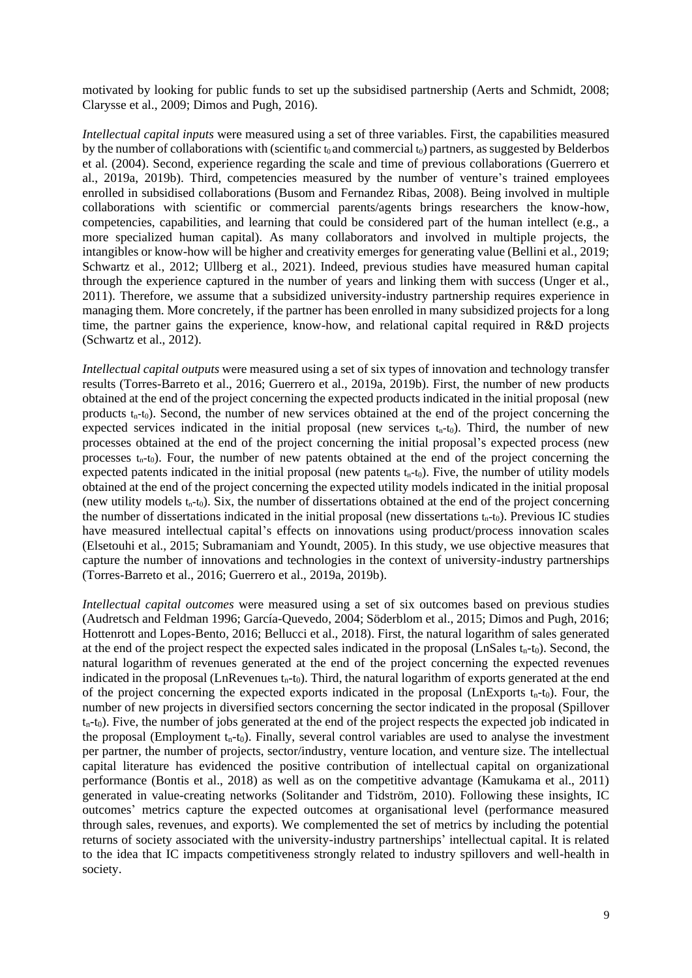motivated by looking for public funds to set up the subsidised partnership (Aerts and Schmidt, 2008; Clarysse et al., 2009; Dimos and Pugh, 2016).

*Intellectual capital inputs* were measured using a set of three variables. First, the capabilities measured by the number of collaborations with (scientific  $t_0$  and commercial  $t_0$ ) partners, as suggested by Belderbos et al. (2004). Second, experience regarding the scale and time of previous collaborations (Guerrero et al., 2019a, 2019b). Third, competencies measured by the number of venture's trained employees enrolled in subsidised collaborations (Busom and Fernandez Ribas, 2008). Being involved in multiple collaborations with scientific or commercial parents/agents brings researchers the know-how, competencies, capabilities, and learning that could be considered part of the human intellect (e.g., a more specialized human capital). As many collaborators and involved in multiple projects, the intangibles or know-how will be higher and creativity emerges for generating value (Bellini et al., 2019; Schwartz et al., 2012; Ullberg et al., 2021). Indeed, previous studies have measured human capital through the experience captured in the number of years and linking them with success (Unger et al., 2011). Therefore, we assume that a subsidized university-industry partnership requires experience in managing them. More concretely, if the partner has been enrolled in many subsidized projects for a long time, the partner gains the experience, know-how, and relational capital required in R&D projects (Schwartz et al., 2012).

*Intellectual capital outputs* were measured using a set of six types of innovation and technology transfer results (Torres-Barreto et al., 2016; Guerrero et al., 2019a, 2019b). First, the number of new products obtained at the end of the project concerning the expected products indicated in the initial proposal (new products  $t_n-t_0$ ). Second, the number of new services obtained at the end of the project concerning the expected services indicated in the initial proposal (new services  $t_n-t_0$ ). Third, the number of new processes obtained at the end of the project concerning the initial proposal's expected process (new processes  $t_n-t_0$ ). Four, the number of new patents obtained at the end of the project concerning the expected patents indicated in the initial proposal (new patents  $t<sub>n</sub>$ -t<sub>0</sub>). Five, the number of utility models obtained at the end of the project concerning the expected utility models indicated in the initial proposal (new utility models  $t_n-t_0$ ). Six, the number of dissertations obtained at the end of the project concerning the number of dissertations indicated in the initial proposal (new dissertations  $t_n-t_0$ ). Previous IC studies have measured intellectual capital's effects on innovations using product/process innovation scales (Elsetouhi et al., 2015; Subramaniam and Youndt, 2005). In this study, we use objective measures that capture the number of innovations and technologies in the context of university-industry partnerships (Torres-Barreto et al., 2016; Guerrero et al., 2019a, 2019b).

*Intellectual capital outcomes* were measured using a set of six outcomes based on previous studies (Audretsch and Feldman 1996; García-Quevedo, 2004; Söderblom et al., 2015; Dimos and Pugh, 2016; Hottenrott and Lopes-Bento, 2016; Bellucci et al., 2018). First, the natural logarithm of sales generated at the end of the project respect the expected sales indicated in the proposal (LnSales  $t_n$ -to). Second, the natural logarithm of revenues generated at the end of the project concerning the expected revenues indicated in the proposal (LnRevenues  $t_n-t_0$ ). Third, the natural logarithm of exports generated at the end of the project concerning the expected exports indicated in the proposal (LnExports  $t_n-t_0$ ). Four, the number of new projects in diversified sectors concerning the sector indicated in the proposal (Spillover  $t_n-t_0$ ). Five, the number of jobs generated at the end of the project respects the expected job indicated in the proposal (Employment  $t_n-t_0$ ). Finally, several control variables are used to analyse the investment per partner, the number of projects, sector/industry, venture location, and venture size. The intellectual capital literature has evidenced the positive contribution of intellectual capital on organizational performance (Bontis et al., 2018) as well as on the competitive advantage (Kamukama et al., 2011) generated in value-creating networks (Solitander and Tidström, 2010). Following these insights, IC outcomes' metrics capture the expected outcomes at organisational level (performance measured through sales, revenues, and exports). We complemented the set of metrics by including the potential returns of society associated with the university-industry partnerships' intellectual capital. It is related to the idea that IC impacts competitiveness strongly related to industry spillovers and well-health in society.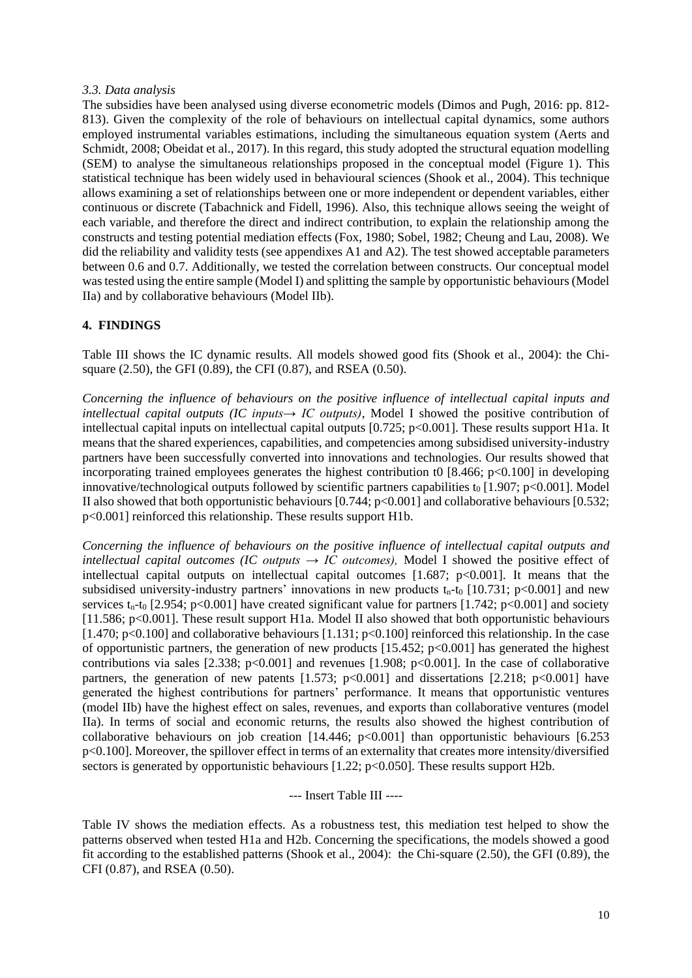### *3.3. Data analysis*

The subsidies have been analysed using diverse econometric models (Dimos and Pugh, 2016: pp. 812- 813). Given the complexity of the role of behaviours on intellectual capital dynamics, some authors employed instrumental variables estimations, including the simultaneous equation system (Aerts and Schmidt, 2008; Obeidat et al., 2017). In this regard, this study adopted the structural equation modelling (SEM) to analyse the simultaneous relationships proposed in the conceptual model (Figure 1). This statistical technique has been widely used in behavioural sciences (Shook et al., 2004). This technique allows examining a set of relationships between one or more independent or dependent variables, either continuous or discrete (Tabachnick and Fidell, 1996). Also, this technique allows seeing the weight of each variable, and therefore the direct and indirect contribution, to explain the relationship among the constructs and testing potential mediation effects (Fox, 1980; Sobel, 1982; Cheung and Lau, 2008). We did the reliability and validity tests (see appendixes A1 and A2). The test showed acceptable parameters between 0.6 and 0.7. Additionally, we tested the correlation between constructs. Our conceptual model was tested using the entire sample (Model I) and splitting the sample by opportunistic behaviours(Model IIa) and by collaborative behaviours (Model IIb).

## **4. FINDINGS**

Table III shows the IC dynamic results. All models showed good fits (Shook et al., 2004): the Chisquare (2.50), the GFI (0.89), the CFI (0.87), and RSEA (0.50).

*Concerning the influence of behaviours on the positive influence of intellectual capital inputs and intellectual capital outputs (IC inputs→ IC outputs),* Model I showed the positive contribution of intellectual capital inputs on intellectual capital outputs [0.725; p<0.001]. These results support H1a. It means that the shared experiences, capabilities, and competencies among subsidised university-industry partners have been successfully converted into innovations and technologies. Our results showed that incorporating trained employees generates the highest contribution to  $[8.466; p<0.100]$  in developing innovative/technological outputs followed by scientific partners capabilities  $t_0$  [1.907; p<0.001]. Model II also showed that both opportunistic behaviours  $[0.744; p<0.001]$  and collaborative behaviours  $[0.532;$ p<0.001] reinforced this relationship. These results support H1b.

*Concerning the influence of behaviours on the positive influence of intellectual capital outputs and intellectual capital outcomes (IC outputs*  $\rightarrow$  *IC outcomes),* Model I showed the positive effect of intellectual capital outputs on intellectual capital outcomes  $[1.687; p<0.001]$ . It means that the subsidised university-industry partners' innovations in new products  $t<sub>n</sub>$ -t<sub>0</sub> [10.731; p<0.001] and new services  $t_n$ -t<sub>0</sub> [2.954; p<0.001] have created significant value for partners [1.742; p<0.001] and society [11.586; p<0.001]. These result support H1a. Model II also showed that both opportunistic behaviours [1.470; p<0.100] and collaborative behaviours [1.131; p<0.100] reinforced this relationship. In the case of opportunistic partners, the generation of new products  $[15.452; p<0.001]$  has generated the highest contributions via sales [2.338; p<0.001] and revenues [1.908; p<0.001]. In the case of collaborative partners, the generation of new patents  $[1.573; p<0.001]$  and dissertations  $[2.218; p<0.001]$  have generated the highest contributions for partners' performance. It means that opportunistic ventures (model IIb) have the highest effect on sales, revenues, and exports than collaborative ventures (model IIa). In terms of social and economic returns, the results also showed the highest contribution of collaborative behaviours on job creation  $[14.446; p<0.001]$  than opportunistic behaviours  $[6.253]$ p<0.100]. Moreover, the spillover effect in terms of an externality that creates more intensity/diversified sectors is generated by opportunistic behaviours [1.22; p<0.050]. These results support H2b.

--- Insert Table III ----

Table IV shows the mediation effects. As a robustness test, this mediation test helped to show the patterns observed when tested H1a and H2b. Concerning the specifications, the models showed a good fit according to the established patterns (Shook et al., 2004): the Chi-square (2.50), the GFI (0.89), the CFI (0.87), and RSEA (0.50).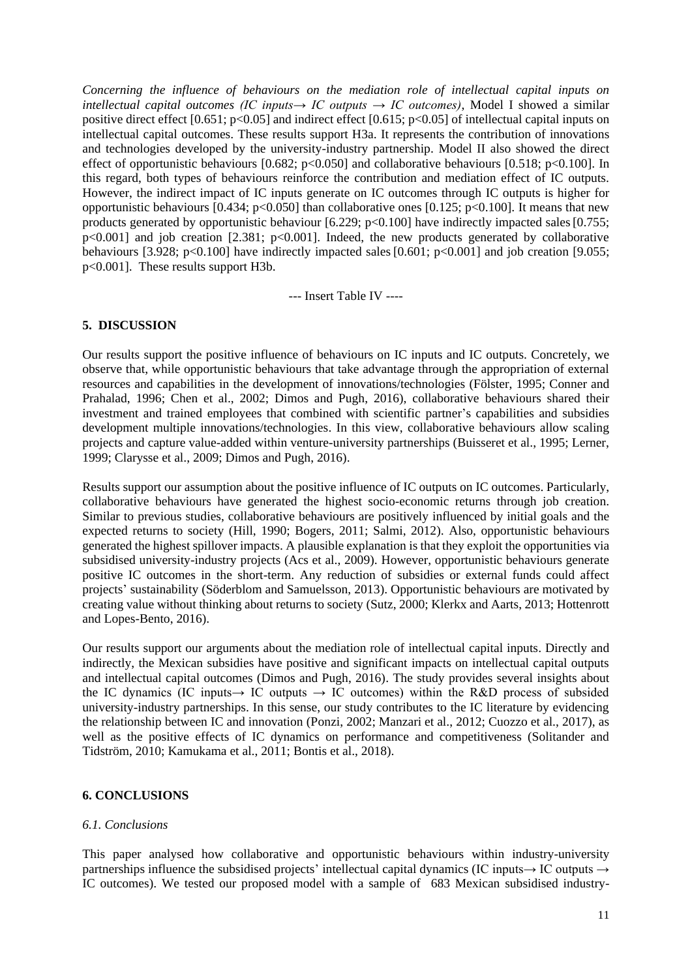*Concerning the influence of behaviours on the mediation role of intellectual capital inputs on intellectual capital outcomes (IC inputs→ IC outputs → IC outcomes)*, Model I showed a similar positive direct effect [0.651; p<0.05] and indirect effect [0.615; p<0.05] of intellectual capital inputs on intellectual capital outcomes. These results support H3a. It represents the contribution of innovations and technologies developed by the university-industry partnership. Model II also showed the direct effect of opportunistic behaviours [0.682; p<0.050] and collaborative behaviours [0.518; p<0.100]. In this regard, both types of behaviours reinforce the contribution and mediation effect of IC outputs. However, the indirect impact of IC inputs generate on IC outcomes through IC outputs is higher for opportunistic behaviours  $[0.434; p<0.050]$  than collaborative ones  $[0.125; p<0.100]$ . It means that new products generated by opportunistic behaviour [6.229; p<0.100] have indirectly impacted sales [0.755;  $p<0.001$ ] and job creation [2.381;  $p<0.001$ ]. Indeed, the new products generated by collaborative behaviours [3.928; p<0.100] have indirectly impacted sales  $[0.601; p<0.001]$  and job creation [9.055; p<0.001]. These results support H3b.

--- Insert Table IV ----

## **5. DISCUSSION**

Our results support the positive influence of behaviours on IC inputs and IC outputs. Concretely, we observe that, while opportunistic behaviours that take advantage through the appropriation of external resources and capabilities in the development of innovations/technologies (Fölster, 1995; Conner and Prahalad, 1996; Chen et al., 2002; Dimos and Pugh, 2016), collaborative behaviours shared their investment and trained employees that combined with scientific partner's capabilities and subsidies development multiple innovations/technologies. In this view, collaborative behaviours allow scaling projects and capture value-added within venture-university partnerships (Buisseret et al., 1995; Lerner, 1999; Clarysse et al., 2009; Dimos and Pugh, 2016).

Results support our assumption about the positive influence of IC outputs on IC outcomes. Particularly, collaborative behaviours have generated the highest socio-economic returns through job creation. Similar to previous studies, collaborative behaviours are positively influenced by initial goals and the expected returns to society (Hill, 1990; Bogers, 2011; Salmi, 2012). Also, opportunistic behaviours generated the highest spillover impacts. A plausible explanation is that they exploit the opportunities via subsidised university-industry projects (Acs et al., 2009). However, opportunistic behaviours generate positive IC outcomes in the short-term. Any reduction of subsidies or external funds could affect projects' sustainability (Söderblom and Samuelsson, 2013). Opportunistic behaviours are motivated by creating value without thinking about returns to society (Sutz, 2000; Klerkx and Aarts, 2013; Hottenrott and Lopes-Bento, 2016).

Our results support our arguments about the mediation role of intellectual capital inputs. Directly and indirectly, the Mexican subsidies have positive and significant impacts on intellectual capital outputs and intellectual capital outcomes (Dimos and Pugh, 2016). The study provides several insights about the IC dynamics (IC inputs  $\rightarrow$  IC outputs  $\rightarrow$  IC outcomes) within the R&D process of subsided university-industry partnerships. In this sense, our study contributes to the IC literature by evidencing the relationship between IC and innovation (Ponzi, 2002; Manzari et al., 2012; Cuozzo et al., 2017), as well as the positive effects of IC dynamics on performance and competitiveness (Solitander and Tidström, 2010; Kamukama et al., 2011; Bontis et al., 2018).

## **6. CONCLUSIONS**

## *6.1. Conclusions*

This paper analysed how collaborative and opportunistic behaviours within industry-university partnerships influence the subsidised projects' intellectual capital dynamics (IC inputs→ IC outputs → IC outcomes). We tested our proposed model with a sample of 683 Mexican subsidised industry-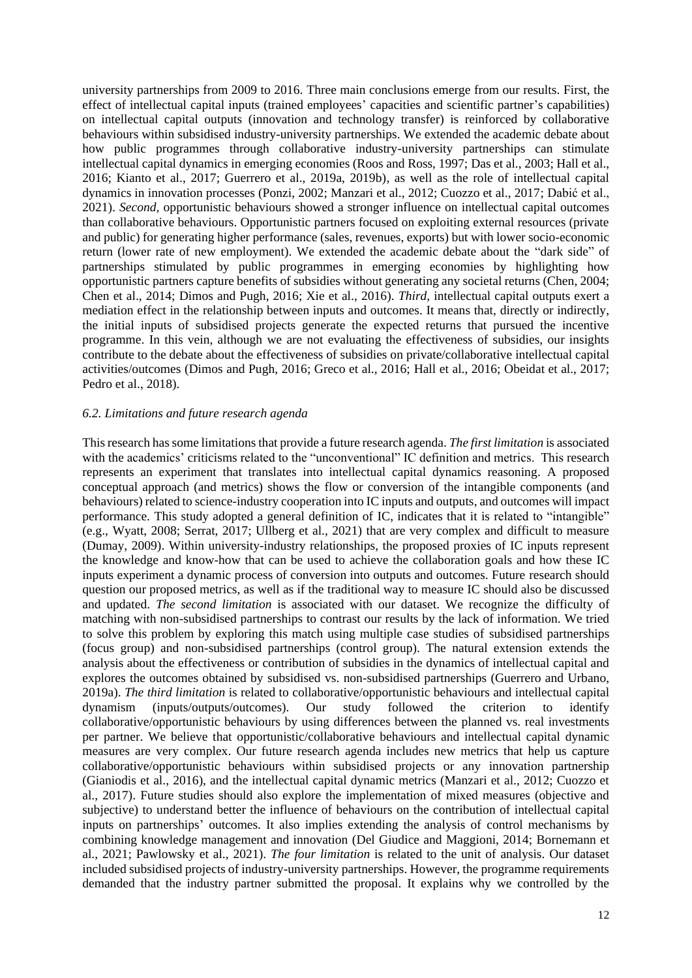university partnerships from 2009 to 2016. Three main conclusions emerge from our results. First, the effect of intellectual capital inputs (trained employees' capacities and scientific partner's capabilities) on intellectual capital outputs (innovation and technology transfer) is reinforced by collaborative behaviours within subsidised industry-university partnerships. We extended the academic debate about how public programmes through collaborative industry-university partnerships can stimulate intellectual capital dynamics in emerging economies (Roos and Ross, 1997; Das et al., 2003; Hall et al., 2016; Kianto et al., 2017; Guerrero et al., 2019a, 2019b), as well as the role of intellectual capital dynamics in innovation processes (Ponzi, 2002; Manzari et al., 2012; Cuozzo et al., 2017; Dabić et al., 2021). *Second,* opportunistic behaviours showed a stronger influence on intellectual capital outcomes than collaborative behaviours. Opportunistic partners focused on exploiting external resources (private and public) for generating higher performance (sales, revenues, exports) but with lower socio-economic return (lower rate of new employment). We extended the academic debate about the "dark side" of partnerships stimulated by public programmes in emerging economies by highlighting how opportunistic partners capture benefits of subsidies without generating any societal returns (Chen, 2004; Chen et al., 2014; Dimos and Pugh, 2016; Xie et al., 2016). *Third,* intellectual capital outputs exert a mediation effect in the relationship between inputs and outcomes. It means that, directly or indirectly, the initial inputs of subsidised projects generate the expected returns that pursued the incentive programme. In this vein, although we are not evaluating the effectiveness of subsidies, our insights contribute to the debate about the effectiveness of subsidies on private/collaborative intellectual capital activities/outcomes (Dimos and Pugh, 2016; Greco et al., 2016; Hall et al., 2016; Obeidat et al., 2017; Pedro et al., 2018).

#### *6.2. Limitations and future research agenda*

This research hassome limitations that provide a future research agenda. *The first limitation* is associated with the academics' criticisms related to the "unconventional" IC definition and metrics. This research represents an experiment that translates into intellectual capital dynamics reasoning. A proposed conceptual approach (and metrics) shows the flow or conversion of the intangible components (and behaviours) related to science-industry cooperation into IC inputs and outputs, and outcomes will impact performance. This study adopted a general definition of IC, indicates that it is related to "intangible" (e.g., Wyatt, 2008; Serrat, 2017; Ullberg et al., 2021) that are very complex and difficult to measure (Dumay, 2009). Within university-industry relationships, the proposed proxies of IC inputs represent the knowledge and know-how that can be used to achieve the collaboration goals and how these IC inputs experiment a dynamic process of conversion into outputs and outcomes. Future research should question our proposed metrics, as well as if the traditional way to measure IC should also be discussed and updated. *The second limitation* is associated with our dataset. We recognize the difficulty of matching with non-subsidised partnerships to contrast our results by the lack of information. We tried to solve this problem by exploring this match using multiple case studies of subsidised partnerships (focus group) and non-subsidised partnerships (control group). The natural extension extends the analysis about the effectiveness or contribution of subsidies in the dynamics of intellectual capital and explores the outcomes obtained by subsidised vs. non-subsidised partnerships (Guerrero and Urbano, 2019a). *The third limitation* is related to collaborative/opportunistic behaviours and intellectual capital dynamism (inputs/outputs/outcomes). Our study followed the criterion to identify collaborative/opportunistic behaviours by using differences between the planned vs. real investments per partner. We believe that opportunistic/collaborative behaviours and intellectual capital dynamic measures are very complex. Our future research agenda includes new metrics that help us capture collaborative/opportunistic behaviours within subsidised projects or any innovation partnership (Gianiodis et al., 2016), and the intellectual capital dynamic metrics (Manzari et al., 2012; Cuozzo et al., 2017). Future studies should also explore the implementation of mixed measures (objective and subjective) to understand better the influence of behaviours on the contribution of intellectual capital inputs on partnerships' outcomes. It also implies extending the analysis of control mechanisms by combining knowledge management and innovation (Del Giudice and Maggioni, 2014; Bornemann et al., 2021; Pawlowsky et al., 2021). *The four limitation* is related to the unit of analysis. Our dataset included subsidised projects of industry-university partnerships. However, the programme requirements demanded that the industry partner submitted the proposal. It explains why we controlled by the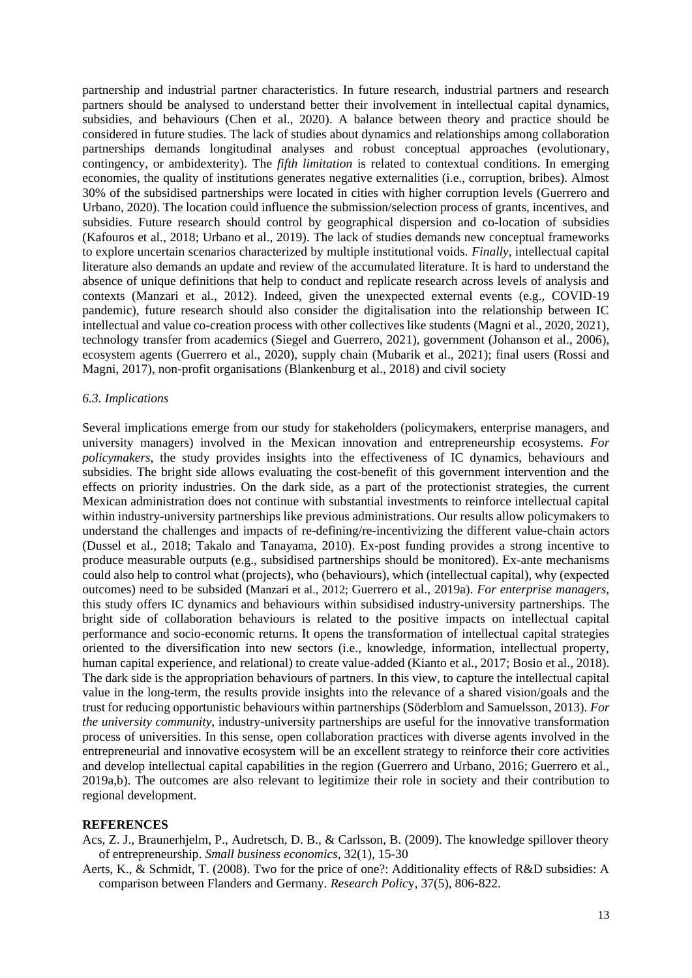partnership and industrial partner characteristics. In future research, industrial partners and research partners should be analysed to understand better their involvement in intellectual capital dynamics, subsidies, and behaviours (Chen et al., 2020). A balance between theory and practice should be considered in future studies. The lack of studies about dynamics and relationships among collaboration partnerships demands longitudinal analyses and robust conceptual approaches (evolutionary, contingency, or ambidexterity). The *fifth limitation* is related to contextual conditions. In emerging economies, the quality of institutions generates negative externalities (i.e., corruption, bribes). Almost 30% of the subsidised partnerships were located in cities with higher corruption levels (Guerrero and Urbano, 2020). The location could influence the submission/selection process of grants, incentives, and subsidies. Future research should control by geographical dispersion and co-location of subsidies (Kafouros et al., 2018; Urbano et al., 2019). The lack of studies demands new conceptual frameworks to explore uncertain scenarios characterized by multiple institutional voids. *Finally,* intellectual capital literature also demands an update and review of the accumulated literature. It is hard to understand the absence of unique definitions that help to conduct and replicate research across levels of analysis and contexts (Manzari et al., 2012). Indeed, given the unexpected external events (e.g., COVID-19 pandemic), future research should also consider the digitalisation into the relationship between IC intellectual and value co-creation process with other collectives like students (Magni et al., 2020, 2021), technology transfer from academics (Siegel and Guerrero, 2021), government (Johanson et al., 2006), ecosystem agents (Guerrero et al., 2020), supply chain (Mubarik et al., 2021); final users (Rossi and Magni, 2017), non-profit organisations (Blankenburg et al., 2018) and civil society

#### *6.3. Implications*

Several implications emerge from our study for stakeholders (policymakers, enterprise managers, and university managers) involved in the Mexican innovation and entrepreneurship ecosystems. *For policymakers*, the study provides insights into the effectiveness of IC dynamics, behaviours and subsidies. The bright side allows evaluating the cost-benefit of this government intervention and the effects on priority industries. On the dark side, as a part of the protectionist strategies, the current Mexican administration does not continue with substantial investments to reinforce intellectual capital within industry-university partnerships like previous administrations. Our results allow policymakers to understand the challenges and impacts of re-defining/re-incentivizing the different value-chain actors (Dussel et al., 2018; Takalo and Tanayama, 2010). Ex-post funding provides a strong incentive to produce measurable outputs (e.g., subsidised partnerships should be monitored). Ex-ante mechanisms could also help to control what (projects), who (behaviours), which (intellectual capital), why (expected outcomes) need to be subsided (Manzari et al., 2012; Guerrero et al., 2019a). *For enterprise managers*, this study offers IC dynamics and behaviours within subsidised industry-university partnerships. The bright side of collaboration behaviours is related to the positive impacts on intellectual capital performance and socio-economic returns. It opens the transformation of intellectual capital strategies oriented to the diversification into new sectors (i.e., knowledge, information, intellectual property, human capital experience, and relational) to create value-added (Kianto et al., 2017; Bosio et al., 2018). The dark side is the appropriation behaviours of partners. In this view, to capture the intellectual capital value in the long-term, the results provide insights into the relevance of a shared vision/goals and the trust for reducing opportunistic behaviours within partnerships (Söderblom and Samuelsson, 2013). *For the university community*, industry-university partnerships are useful for the innovative transformation process of universities. In this sense, open collaboration practices with diverse agents involved in the entrepreneurial and innovative ecosystem will be an excellent strategy to reinforce their core activities and develop intellectual capital capabilities in the region (Guerrero and Urbano, 2016; Guerrero et al., 2019a,b). The outcomes are also relevant to legitimize their role in society and their contribution to regional development.

#### **REFERENCES**

Acs, Z. J., Braunerhjelm, P., Audretsch, D. B., & Carlsson, B. (2009). The knowledge spillover theory of entrepreneurship. *Small business economics*, 32(1), 15-30

Aerts, K., & Schmidt, T. (2008). Two for the price of one?: Additionality effects of R&D subsidies: A comparison between Flanders and Germany. *Research Polic*y, 37(5), 806-822.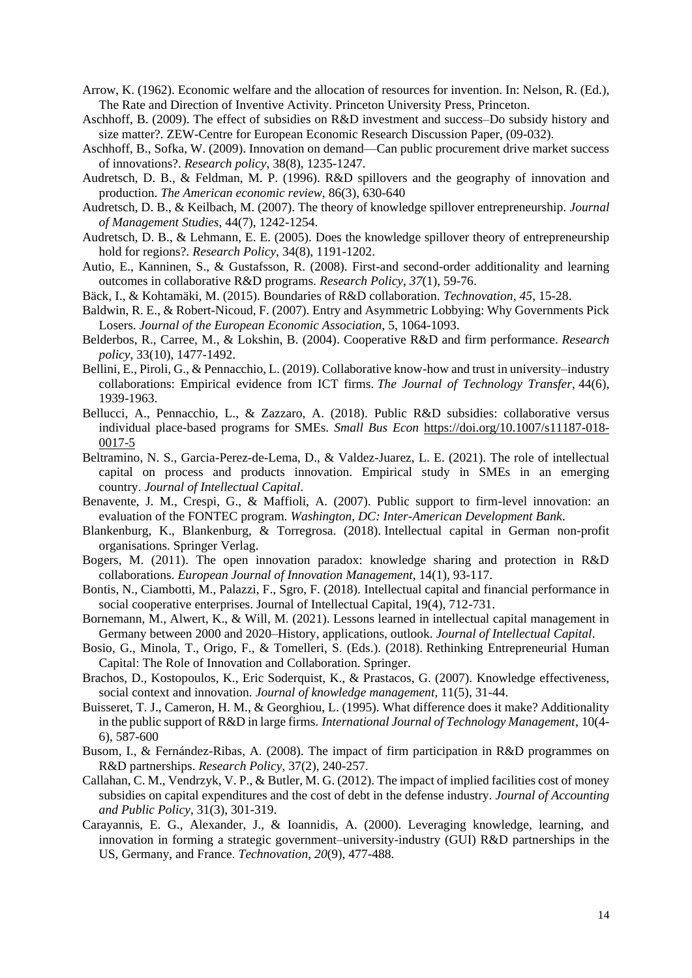- Arrow, K. (1962). Economic welfare and the allocation of resources for invention. In: Nelson, R. (Ed.), The Rate and Direction of Inventive Activity. Princeton University Press, Princeton.
- Aschhoff, B. (2009). The effect of subsidies on R&D investment and success–Do subsidy history and size matter?. ZEW-Centre for European Economic Research Discussion Paper, (09-032).
- Aschhoff, B., Sofka, W. (2009). Innovation on demand—Can public procurement drive market success of innovations?. *Research policy*, 38(8), 1235-1247.
- Audretsch, D. B., & Feldman, M. P. (1996). R&D spillovers and the geography of innovation and production. *The American economic review*, 86(3), 630-640
- Audretsch, D. B., & Keilbach, M. (2007). The theory of knowledge spillover entrepreneurship. *Journal of Management Studies*, 44(7), 1242-1254.
- Audretsch, D. B., & Lehmann, E. E. (2005). Does the knowledge spillover theory of entrepreneurship hold for regions?. *Research Policy*, 34(8), 1191-1202.
- Autio, E., Kanninen, S., & Gustafsson, R. (2008). First-and second-order additionality and learning outcomes in collaborative R&D programs. *Research Policy*, *37*(1), 59-76.
- Bäck, I., & Kohtamäki, M. (2015). Boundaries of R&D collaboration. *Technovation*, *45*, 15-28.
- Baldwin, R. E., & Robert-Nicoud, F. (2007). Entry and Asymmetric Lobbying: Why Governments Pick Losers. *Journal of the European Economic Association*, 5, 1064-1093.
- Belderbos, R., Carree, M., & Lokshin, B. (2004). Cooperative R&D and firm performance. *Research policy*, 33(10), 1477-1492.
- Bellini, E., Piroli, G., & Pennacchio, L. (2019). Collaborative know-how and trust in university–industry collaborations: Empirical evidence from ICT firms. *The Journal of Technology Transfer*, 44(6), 1939-1963.
- Bellucci, A., Pennacchio, L., & Zazzaro, A. (2018). Public R&D subsidies: collaborative versus individual place-based programs for SMEs. *Small Bus Econ* [https://doi.org/10.1007/s11187-018-](https://doi.org/10.1007/s11187-018-0017-5) [0017-5](https://doi.org/10.1007/s11187-018-0017-5)
- Beltramino, N. S., Garcia-Perez-de-Lema, D., & Valdez-Juarez, L. E. (2021). The role of intellectual capital on process and products innovation. Empirical study in SMEs in an emerging country. *Journal of Intellectual Capital*.
- Benavente, J. M., Crespi, G., & Maffioli, A. (2007). Public support to firm-level innovation: an evaluation of the FONTEC program. *Washington, DC: Inter-American Development Bank*.
- Blankenburg, K., Blankenburg, & Torregrosa. (2018). Intellectual capital in German non-profit organisations. Springer Verlag.
- Bogers, M. (2011). The open innovation paradox: knowledge sharing and protection in R&D collaborations. *European Journal of Innovation Management*, 14(1), 93-117.
- Bontis, N., Ciambotti, M., Palazzi, F., Sgro, F. (2018). Intellectual capital and financial performance in social cooperative enterprises. Journal of Intellectual Capital, 19(4), 712-731.
- Bornemann, M., Alwert, K., & Will, M. (2021). Lessons learned in intellectual capital management in Germany between 2000 and 2020–History, applications, outlook. *Journal of Intellectual Capital*.
- Bosio, G., Minola, T., Origo, F., & Tomelleri, S. (Eds.). (2018). Rethinking Entrepreneurial Human Capital: The Role of Innovation and Collaboration. Springer.
- Brachos, D., Kostopoulos, K., Eric Soderquist, K., & Prastacos, G. (2007). Knowledge effectiveness, social context and innovation. *Journal of knowledge management*, 11(5), 31-44.
- Buisseret, T. J., Cameron, H. M., & Georghiou, L. (1995). What difference does it make? Additionality in the public support of R&D in large firms. *International Journal of Technology Management*, 10(4- 6), 587-600
- Busom, I., & Fernández-Ribas, A. (2008). The impact of firm participation in R&D programmes on R&D partnerships. *Research Policy*, 37(2), 240-257.
- Callahan, C. M., Vendrzyk, V. P., & Butler, M. G. (2012). The impact of implied facilities cost of money subsidies on capital expenditures and the cost of debt in the defense industry. *Journal of Accounting and Public Policy*, 31(3), 301-319.
- Carayannis, E. G., Alexander, J., & Ioannidis, A. (2000). Leveraging knowledge, learning, and innovation in forming a strategic government–university-industry (GUI) R&D partnerships in the US, Germany, and France. *Technovation*, *20*(9), 477-488.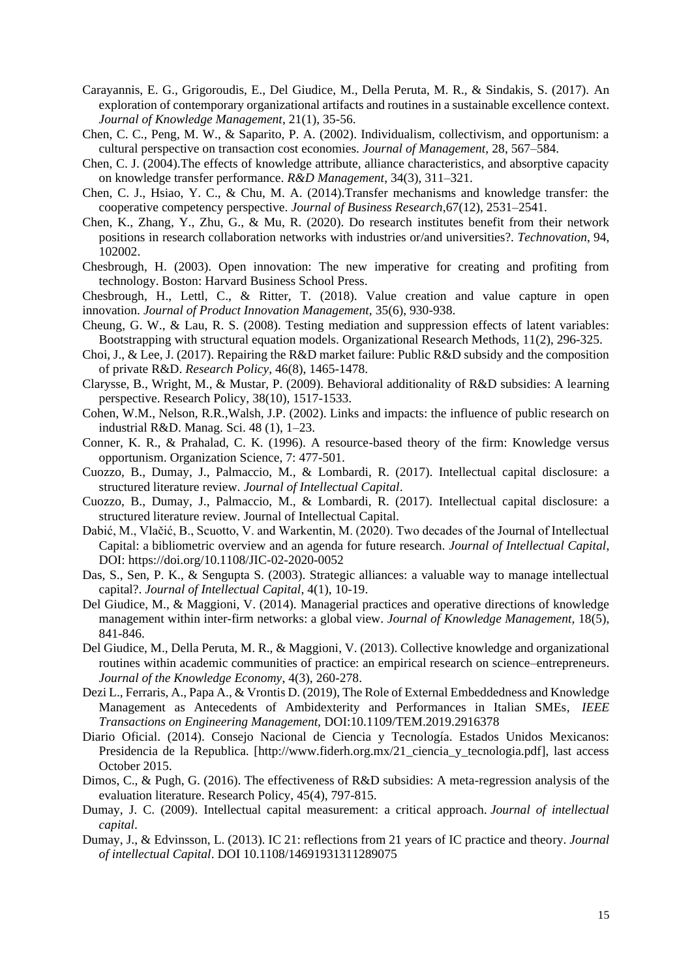- Carayannis, E. G., Grigoroudis, E., Del Giudice, M., Della Peruta, M. R., & Sindakis, S. (2017). An exploration of contemporary organizational artifacts and routines in a sustainable excellence context. *Journal of Knowledge Management*, 21(1), 35-56.
- Chen, C. C., Peng, M. W., & Saparito, P. A. (2002). Individualism, collectivism, and opportunism: a cultural perspective on transaction cost economies. *Journal of Management,* 28, 567–584.
- Chen, C. J. (2004).The effects of knowledge attribute, alliance characteristics, and absorptive capacity on knowledge transfer performance. *R&D Management*, 34(3), 311–321.
- Chen, C. J., Hsiao, Y. C., & Chu, M. A. (2014).Transfer mechanisms and knowledge transfer: the cooperative competency perspective. *Journal of Business Research*,67(12), 2531–2541.
- Chen, K., Zhang, Y., Zhu, G., & Mu, R. (2020). Do research institutes benefit from their network positions in research collaboration networks with industries or/and universities?. *Technovation*, 94, 102002.
- Chesbrough, H. (2003). Open innovation: The new imperative for creating and profiting from technology. Boston: Harvard Business School Press.
- Chesbrough, H., Lettl, C., & Ritter, T. (2018). Value creation and value capture in open innovation. *Journal of Product Innovation Management,* 35(6), 930-938.
- Cheung, G. W., & Lau, R. S. (2008). Testing mediation and suppression effects of latent variables: Bootstrapping with structural equation models. Organizational Research Methods, 11(2), 296-325.
- Choi, J., & Lee, J. (2017). Repairing the R&D market failure: Public R&D subsidy and the composition of private R&D. *Research Policy*, 46(8), 1465-1478.
- Clarysse, B., Wright, M., & Mustar, P. (2009). Behavioral additionality of R&D subsidies: A learning perspective. Research Policy, 38(10), 1517-1533.
- Cohen, W.M., Nelson, R.R.,Walsh, J.P. (2002). Links and impacts: the influence of public research on industrial R&D. Manag. Sci. 48 (1), 1–23.
- Conner, K. R., & Prahalad, C. K. (1996). A resource-based theory of the firm: Knowledge versus opportunism. Organization Science, 7: 477-501.
- Cuozzo, B., Dumay, J., Palmaccio, M., & Lombardi, R. (2017). Intellectual capital disclosure: a structured literature review. *Journal of Intellectual Capital*.
- Cuozzo, B., Dumay, J., Palmaccio, M., & Lombardi, R. (2017). Intellectual capital disclosure: a structured literature review. Journal of Intellectual Capital.
- Dabić, M., Vlačić, B., Scuotto, V. and Warkentin, M. (2020). Two decades of the Journal of Intellectual Capital: a bibliometric overview and an agenda for future research*. Journal of Intellectual Capital*, DOI:<https://doi.org/10.1108/JIC-02-2020-0052>
- Das, S., Sen, P. K., & Sengupta S. (2003). Strategic alliances: a valuable way to manage intellectual capital?. *Journal of Intellectual Capital*, 4(1), 10-19.
- Del Giudice, M., & Maggioni, V. (2014). Managerial practices and operative directions of knowledge management within inter-firm networks: a global view. *Journal of Knowledge Management,* 18(5), 841-846.
- Del Giudice, M., Della Peruta, M. R., & Maggioni, V. (2013). Collective knowledge and organizational routines within academic communities of practice: an empirical research on science–entrepreneurs. *Journal of the Knowledge Economy*, 4(3), 260-278.
- Dezi L., Ferraris, A., Papa A., & Vrontis D. (2019), The Role of External Embeddedness and Knowledge Management as Antecedents of Ambidexterity and Performances in Italian SMEs*, IEEE Transactions on Engineering Management,* DOI:10.1109/TEM.2019.2916378
- Diario Oficial. (2014). Consejo Nacional de Ciencia y Tecnología. Estados Unidos Mexicanos: Presidencia de la Republica. [http://www.fiderh.org.mx/21\_ciencia\_y\_tecnologia.pdf], last access October 2015.
- Dimos, C., & Pugh, G. (2016). The effectiveness of R&D subsidies: A meta-regression analysis of the evaluation literature. Research Policy, 45(4), 797-815.
- Dumay, J. C. (2009). Intellectual capital measurement: a critical approach. *Journal of intellectual capital*.
- Dumay, J., & Edvinsson, L. (2013). IC 21: reflections from 21 years of IC practice and theory. *Journal of intellectual Capital*. DOI 10.1108/14691931311289075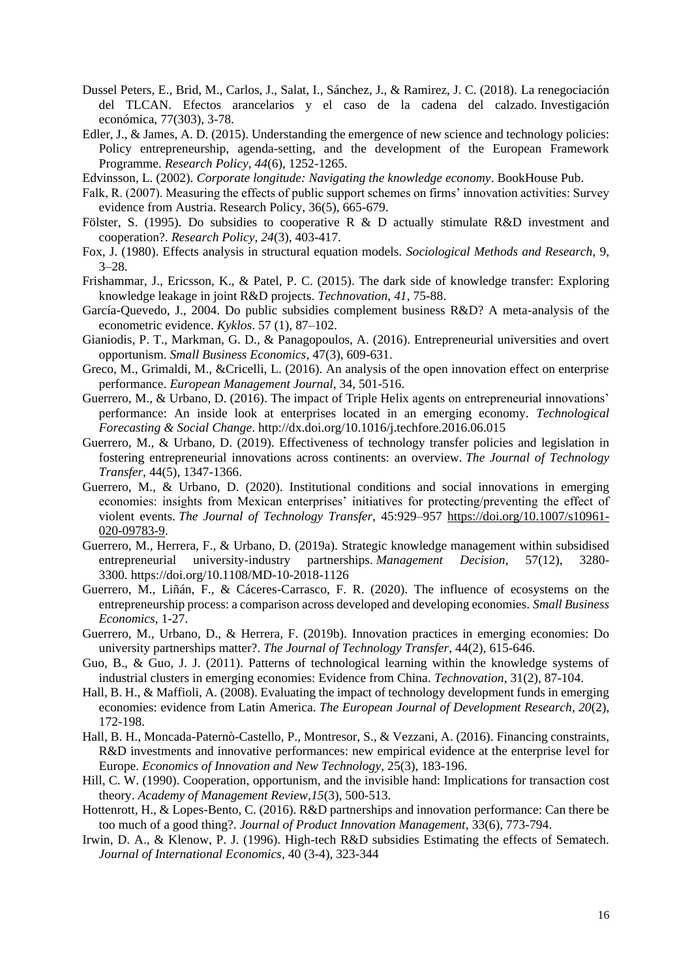- Dussel Peters, E., Brid, M., Carlos, J., Salat, I., Sánchez, J., & Ramirez, J. C. (2018). La renegociación del TLCAN. Efectos arancelarios y el caso de la cadena del calzado. Investigación económica, 77(303), 3-78.
- Edler, J., & James, A. D. (2015). Understanding the emergence of new science and technology policies: Policy entrepreneurship, agenda-setting, and the development of the European Framework Programme. *Research Policy*, *44*(6), 1252-1265.
- Edvinsson, L. (2002). *Corporate longitude: Navigating the knowledge economy*. BookHouse Pub.
- Falk, R. (2007). Measuring the effects of public support schemes on firms' innovation activities: Survey evidence from Austria. Research Policy, 36(5), 665-679.
- Fölster, S. (1995). Do subsidies to cooperative R & D actually stimulate R&D investment and cooperation?. *Research Policy*, *24*(3), 403-417.
- Fox, J. (1980). Effects analysis in structural equation models. *Sociological Methods and Research*, 9, 3–28.
- Frishammar, J., Ericsson, K., & Patel, P. C. (2015). The dark side of knowledge transfer: Exploring knowledge leakage in joint R&D projects. *Technovation*, *41*, 75-88.
- García-Quevedo, J., 2004. Do public subsidies complement business R&D? A meta-analysis of the econometric evidence. *Kyklos*. 57 (1), 87–102.
- Gianiodis, P. T., Markman, G. D., & Panagopoulos, A. (2016). Entrepreneurial universities and overt opportunism. *Small Business Economics*, 47(3), 609-631.
- Greco, M., Grimaldi, M., &Cricelli, L. (2016). An analysis of the open innovation effect on enterprise performance. *European Management Journal*, 34, 501-516.
- Guerrero, M., & Urbano, D. (2016). The impact of Triple Helix agents on entrepreneurial innovations' performance: An inside look at enterprises located in an emerging economy. *Technological Forecasting & Social Change*. http://dx.doi.org/10.1016/j.techfore.2016.06.015
- Guerrero, M., & Urbano, D. (2019). Effectiveness of technology transfer policies and legislation in fostering entrepreneurial innovations across continents: an overview. *The Journal of Technology Transfer*, 44(5), 1347-1366.
- Guerrero, M., & Urbano, D. (2020). Institutional conditions and social innovations in emerging economies: insights from Mexican enterprises' initiatives for protecting/preventing the effect of violent events. *The Journal of Technology Transfer*, 45:929–957 [https://doi.org/10.1007/s10961-](https://doi.org/10.1007/s10961-020-09783-9) [020-09783-9.](https://doi.org/10.1007/s10961-020-09783-9)
- Guerrero, M., Herrera, F., & Urbano, D. (2019a). Strategic knowledge management within subsidised entrepreneurial university-industry partnerships. *Management Decision*, 57(12), 3280- 3300. <https://doi.org/10.1108/MD-10-2018-1126>
- Guerrero, M., Liñán, F., & Cáceres-Carrasco, F. R. (2020). The influence of ecosystems on the entrepreneurship process: a comparison across developed and developing economies. *Small Business Economics*, 1-27.
- Guerrero, M., Urbano, D., & Herrera, F. (2019b). Innovation practices in emerging economies: Do university partnerships matter?. *The Journal of Technology Transfer*, 44(2), 615-646.
- Guo, B., & Guo, J. J. (2011). Patterns of technological learning within the knowledge systems of industrial clusters in emerging economies: Evidence from China. *Technovation*, 31(2), 87-104.
- Hall, B. H., & Maffioli, A. (2008). Evaluating the impact of technology development funds in emerging economies: evidence from Latin America. *The European Journal of Development Research*, *20*(2), 172-198.
- Hall, B. H., Moncada-Paternò-Castello, P., Montresor, S., & Vezzani, A. (2016). Financing constraints, R&D investments and innovative performances: new empirical evidence at the enterprise level for Europe. *Economics of Innovation and New Technology*, 25(3), 183-196.
- Hill, C. W. (1990). Cooperation, opportunism, and the invisible hand: Implications for transaction cost theory. *Academy of Management Review*,*15*(3), 500-513.
- Hottenrott, H., & Lopes-Bento, C. (2016). R&D partnerships and innovation performance: Can there be too much of a good thing?. *Journal of Product Innovation Management*, 33(6), 773-794.
- Irwin, D. A., & Klenow, P. J. (1996). High-tech R&D subsidies Estimating the effects of Sematech. *Journal of International Economics*, 40 (3-4), 323-344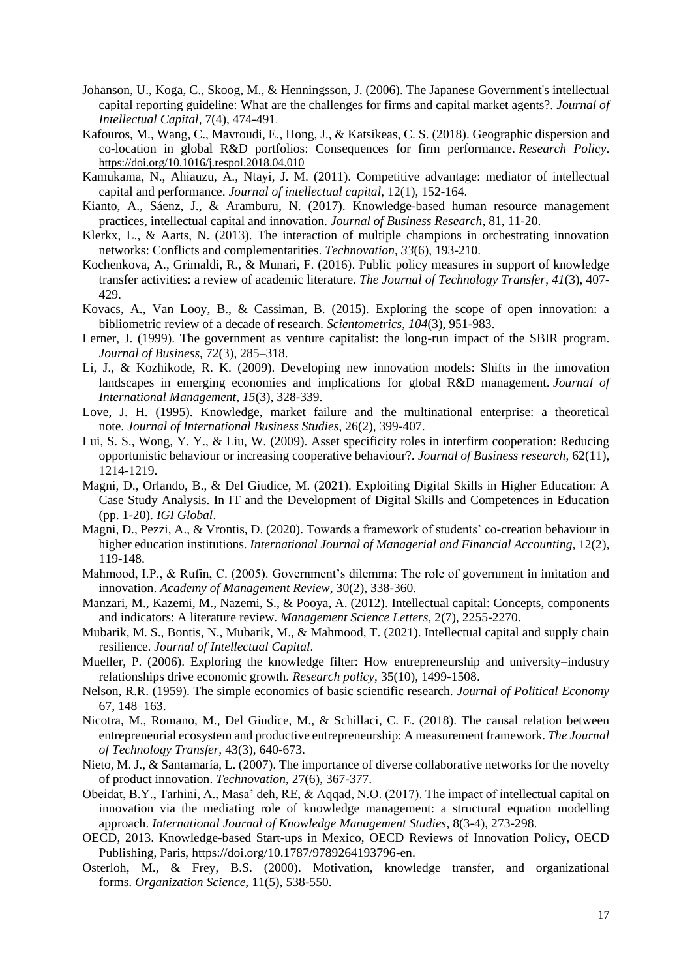- Johanson, U., Koga, C., Skoog, M., & Henningsson, J. (2006). The Japanese Government's intellectual capital reporting guideline: What are the challenges for firms and capital market agents?. *Journal of Intellectual Capital*, 7(4), 474-491.
- Kafouros, M., Wang, C., Mavroudi, E., Hong, J., & Katsikeas, C. S. (2018). Geographic dispersion and co-location in global R&D portfolios: Consequences for firm performance. *Research Policy*. <https://doi.org/10.1016/j.respol.2018.04.010>
- Kamukama, N., Ahiauzu, A., Ntayi, J. M. (2011). Competitive advantage: mediator of intellectual capital and performance. *Journal of intellectual capital*, 12(1), 152-164.
- Kianto, A., Sáenz, J., & Aramburu, N. (2017). Knowledge-based human resource management practices, intellectual capital and innovation. *Journal of Business Research*, 81, 11-20.
- Klerkx, L., & Aarts, N. (2013). The interaction of multiple champions in orchestrating innovation networks: Conflicts and complementarities. *Technovation*, *33*(6), 193-210.
- Kochenkova, A., Grimaldi, R., & Munari, F. (2016). Public policy measures in support of knowledge transfer activities: a review of academic literature. *The Journal of Technology Transfer*, *41*(3), 407- 429.
- Kovacs, A., Van Looy, B., & Cassiman, B. (2015). Exploring the scope of open innovation: a bibliometric review of a decade of research. *Scientometrics*, *104*(3), 951-983.
- Lerner, J. (1999). The government as venture capitalist: the long-run impact of the SBIR program. *Journal of Business*, 72(3), 285–318.
- Li, J., & Kozhikode, R. K. (2009). Developing new innovation models: Shifts in the innovation landscapes in emerging economies and implications for global R&D management. *Journal of International Management*, *15*(3), 328-339.
- Love, J. H. (1995). Knowledge, market failure and the multinational enterprise: a theoretical note. *Journal of International Business Studies*, 26(2), 399-407.
- Lui, S. S., Wong, Y. Y., & Liu, W. (2009). Asset specificity roles in interfirm cooperation: Reducing opportunistic behaviour or increasing cooperative behaviour?. *Journal of Business research*, 62(11), 1214-1219.
- Magni, D., Orlando, B., & Del Giudice, M. (2021). Exploiting Digital Skills in Higher Education: A Case Study Analysis. In IT and the Development of Digital Skills and Competences in Education (pp. 1-20). *IGI Global*.
- Magni, D., Pezzi, A., & Vrontis, D. (2020). Towards a framework of students' co-creation behaviour in higher education institutions. *International Journal of Managerial and Financial Accounting*, 12(2), 119-148.
- Mahmood, I.P., & Rufin, C. (2005). Government's dilemma: The role of government in imitation and innovation. *Academy of Management Review*, 30(2), 338-360.
- Manzari, M., Kazemi, M., Nazemi, S., & Pooya, A. (2012). Intellectual capital: Concepts, components and indicators: A literature review. *Management Science Letters*, 2(7), 2255-2270.
- Mubarik, M. S., Bontis, N., Mubarik, M., & Mahmood, T. (2021). Intellectual capital and supply chain resilience. *Journal of Intellectual Capital*.
- Mueller, P. (2006). Exploring the knowledge filter: How entrepreneurship and university–industry relationships drive economic growth. *Research policy*, 35(10), 1499-1508.
- Nelson, R.R. (1959). The simple economics of basic scientific research. *Journal of Political Economy* 67, 148–163.
- Nicotra, M., Romano, M., Del Giudice, M., & Schillaci, C. E. (2018). The causal relation between entrepreneurial ecosystem and productive entrepreneurship: A measurement framework. *The Journal of Technology Transfer,* 43(3), 640-673.
- Nieto, M. J., & Santamaría, L. (2007). The importance of diverse collaborative networks for the novelty of product innovation. *Technovation*, 27(6), 367-377.
- Obeidat, B.Y., Tarhini, A., Masa' deh, RE, & Aqqad, N.O. (2017). The impact of intellectual capital on innovation via the mediating role of knowledge management: a structural equation modelling approach. *International Journal of Knowledge Management Studies*, 8(3-4), 273-298.
- OECD, 2013. Knowledge-based Start-ups in Mexico, OECD Reviews of Innovation Policy, OECD Publishing, Paris, [https://doi.org/10.1787/9789264193796-en.](https://doi.org/10.1787/9789264193796-en)
- Osterloh, M., & Frey, B.S. (2000). Motivation, knowledge transfer, and organizational forms. *Organization Science*, 11(5), 538-550.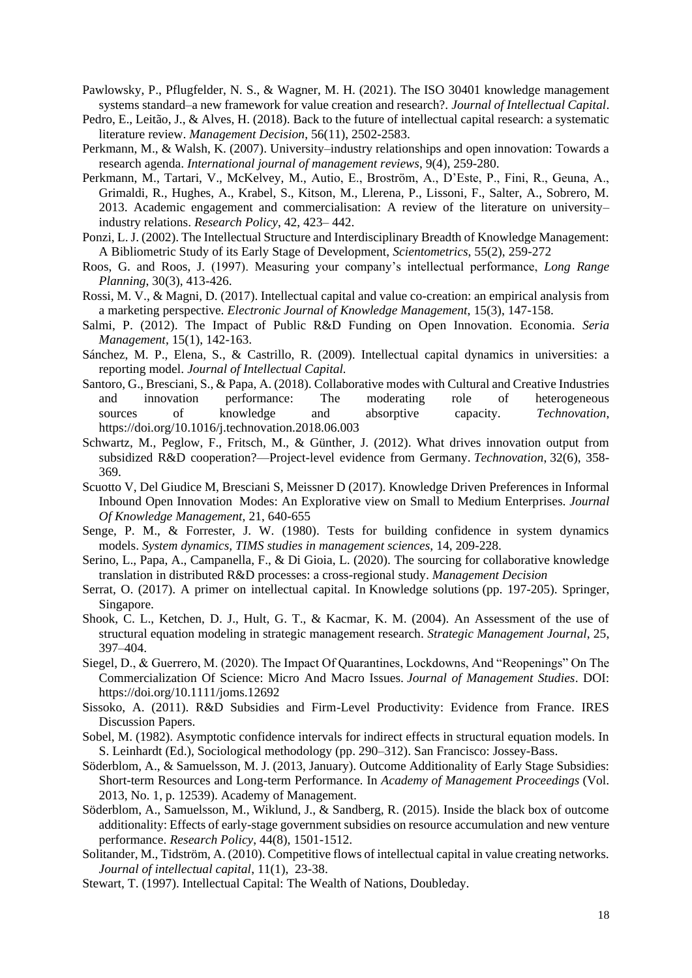- Pawlowsky, P., Pflugfelder, N. S., & Wagner, M. H. (2021). The ISO 30401 knowledge management systems standard–a new framework for value creation and research?. *Journal of Intellectual Capital*.
- Pedro, E., Leitão, J., & Alves, H. (2018). Back to the future of intellectual capital research: a systematic literature review. *Management Decision*, 56(11), 2502-2583.
- Perkmann, M., & Walsh, K. (2007). University–industry relationships and open innovation: Towards a research agenda. *International journal of management reviews*, 9(4), 259-280.
- Perkmann, M., Tartari, V., McKelvey, M., Autio, E., Broström, A., D'Este, P., Fini, R., Geuna, A., Grimaldi, R., Hughes, A., Krabel, S., Kitson, M., Llerena, P., Lissoni, F., Salter, A., Sobrero, M. 2013. Academic engagement and commercialisation: A review of the literature on university– industry relations. *Research Policy*, 42, 423– 442.
- Ponzi, L. J. (2002). The Intellectual Structure and Interdisciplinary Breadth of Knowledge Management: A Bibliometric Study of its Early Stage of Development, *Scientometrics*, 55(2), 259-272
- Roos, G. and Roos, J. (1997). Measuring your company's intellectual performance, *Long Range Planning*, 30(3), 413-426.
- Rossi, M. V., & Magni, D. (2017). Intellectual capital and value co-creation: an empirical analysis from a marketing perspective. *Electronic Journal of Knowledge Management*, 15(3), 147-158.
- Salmi, P. (2012). The Impact of Public R&D Funding on Open Innovation. Economia. *Seria Management*, 15(1), 142-163.
- Sánchez, M. P., Elena, S., & Castrillo, R. (2009). Intellectual capital dynamics in universities: a reporting model. *Journal of Intellectual Capital.*
- Santoro, G., Bresciani, S., & Papa, A. (2018). Collaborative modes with Cultural and Creative Industries and innovation performance: The moderating role of heterogeneous sources of knowledge and absorptive capacity. *Technovation*, <https://doi.org/10.1016/j.technovation.2018.06.003>
- Schwartz, M., Peglow, F., Fritsch, M., & Günther, J. (2012). What drives innovation output from subsidized R&D cooperation?—Project-level evidence from Germany. *Technovation*, 32(6), 358- 369.
- Scuotto V, Del Giudice M, Bresciani S, Meissner D (2017). Knowledge Driven Preferences in Informal Inbound Open Innovation Modes: An Explorative view on Small to Medium Enterprises. *Journal Of Knowledge Management*, 21, 640-655
- Senge, P. M., & Forrester, J. W. (1980). Tests for building confidence in system dynamics models. *System dynamics, TIMS studies in management sciences*, 14, 209-228.
- Serino, L., Papa, A., Campanella, F., & Di Gioia, L. (2020). The sourcing for collaborative knowledge translation in distributed R&D processes: a cross-regional study. *Management Decision*
- Serrat, O. (2017). A primer on intellectual capital. In Knowledge solutions (pp. 197-205). Springer, Singapore.
- Shook, C. L., Ketchen, D. J., Hult, G. T., & Kacmar, K. M. (2004). An Assessment of the use of structural equation modeling in strategic management research. *Strategic Management Journal*, 25, 397–404.
- Siegel, D., & Guerrero, M. (2020). The Impact Of Quarantines, Lockdowns, And "Reopenings" On The Commercialization Of Science: Micro And Macro Issues. *Journal of Management Studies*. DOI: <https://doi.org/10.1111/joms.12692>
- Sissoko, A. (2011). R&D Subsidies and Firm-Level Productivity: Evidence from France. IRES Discussion Papers.
- Sobel, M. (1982). Asymptotic confidence intervals for indirect effects in structural equation models. In S. Leinhardt (Ed.), Sociological methodology (pp. 290–312). San Francisco: Jossey-Bass.
- Söderblom, A., & Samuelsson, M. J. (2013, January). Outcome Additionality of Early Stage Subsidies: Short-term Resources and Long-term Performance. In *Academy of Management Proceedings* (Vol. 2013, No. 1, p. 12539). Academy of Management.
- Söderblom, A., Samuelsson, M., Wiklund, J., & Sandberg, R. (2015). Inside the black box of outcome additionality: Effects of early-stage government subsidies on resource accumulation and new venture performance. *Research Policy*, 44(8), 1501-1512.
- Solitander, M., Tidström, A. (2010). Competitive flows of intellectual capital in value creating networks. *Journal of intellectual capital*, 11(1), 23-38.
- Stewart, T. (1997). Intellectual Capital: The Wealth of Nations, Doubleday.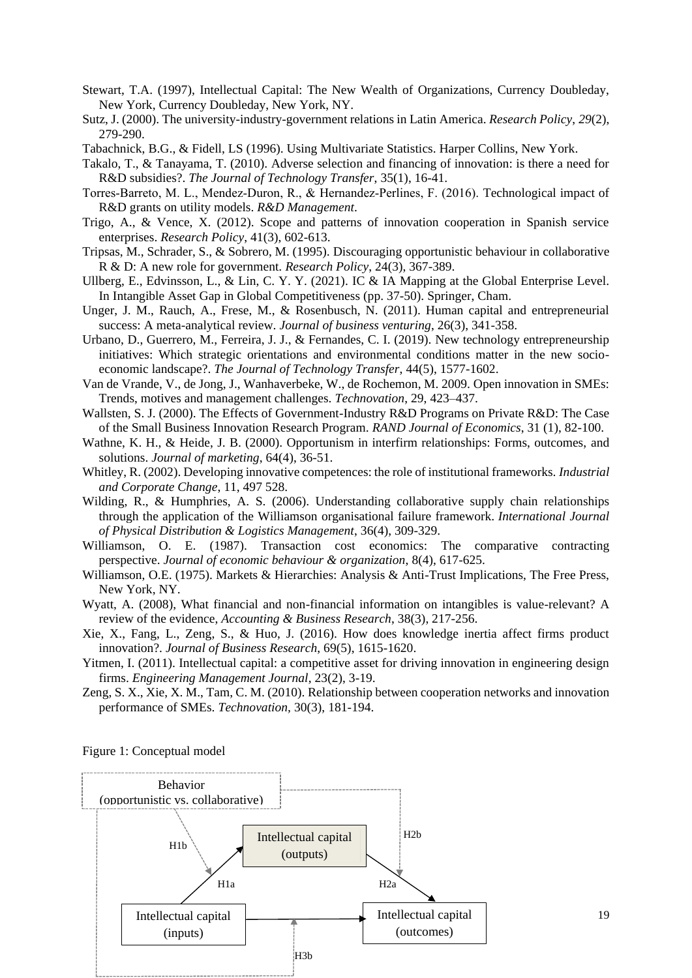- Stewart, T.A. (1997), Intellectual Capital: The New Wealth of Organizations, Currency Doubleday, New York, Currency Doubleday, New York, NY.
- Sutz, J. (2000). The university-industry-government relations in Latin America. *Research Policy*, *29*(2), 279-290.
- Tabachnick, B.G., & Fidell, LS (1996). Using Multivariate Statistics. Harper Collins, New York.
- Takalo, T., & Tanayama, T. (2010). Adverse selection and financing of innovation: is there a need for R&D subsidies?. *The Journal of Technology Transfer*, 35(1), 16-41.
- Torres‐Barreto, M. L., Mendez‐Duron, R., & Hernandez‐Perlines, F. (2016). Technological impact of R&D grants on utility models. *R&D Management*.
- Trigo, A., & Vence, X. (2012). Scope and patterns of innovation cooperation in Spanish service enterprises. *Research Policy*, 41(3), 602-613.
- Tripsas, M., Schrader, S., & Sobrero, M. (1995). Discouraging opportunistic behaviour in collaborative R & D: A new role for government. *Research Policy*, 24(3), 367-389.
- Ullberg, E., Edvinsson, L., & Lin, C. Y. Y. (2021). IC & IA Mapping at the Global Enterprise Level. In Intangible Asset Gap in Global Competitiveness (pp. 37-50). Springer, Cham.
- Unger, J. M., Rauch, A., Frese, M., & Rosenbusch, N. (2011). Human capital and entrepreneurial success: A meta-analytical review. *Journal of business venturing*, 26(3), 341-358.
- Urbano, D., Guerrero, M., Ferreira, J. J., & Fernandes, C. I. (2019). New technology entrepreneurship initiatives: Which strategic orientations and environmental conditions matter in the new socioeconomic landscape?. *The Journal of Technology Transfer*, 44(5), 1577-1602.
- Van de Vrande, V., de Jong, J., Wanhaverbeke, W., de Rochemon, M. 2009. Open innovation in SMEs: Trends, motives and management challenges. *Technovation*, 29, 423–437.
- Wallsten, S. J. (2000). The Effects of Government-Industry R&D Programs on Private R&D: The Case of the Small Business Innovation Research Program. *RAND Journal of Economics*, 31 (1), 82-100.
- Wathne, K. H., & Heide, J. B. (2000). Opportunism in interfirm relationships: Forms, outcomes, and solutions. *Journal of marketing*, 64(4), 36-51.
- Whitley, R. (2002). Developing innovative competences: the role of institutional frameworks. *Industrial and Corporate Change*, 11, 497 528.
- Wilding, R., & Humphries, A. S. (2006). Understanding collaborative supply chain relationships through the application of the Williamson organisational failure framework*. International Journal of Physical Distribution & Logistics Management*, 36(4), 309-329.
- Williamson, O. E. (1987). Transaction cost economics: The comparative contracting perspective. *Journal of economic behaviour & organization*, 8(4), 617-625.
- Williamson, O.E. (1975). Markets & Hierarchies: Analysis & Anti-Trust Implications, The Free Press, New York, NY.
- Wyatt, A. (2008), What financial and non-financial information on intangibles is value-relevant? A review of the evidence, *Accounting & Business Research*, 38(3), 217-256.
- Xie, X., Fang, L., Zeng, S., & Huo, J. (2016). How does knowledge inertia affect firms product innovation?. *Journal of Business Research*, 69(5), 1615-1620.
- Yitmen, I. (2011). Intellectual capital: a competitive asset for driving innovation in engineering design firms. *Engineering Management Journal*, 23(2), 3-19.
- Zeng, S. X., Xie, X. M., Tam, C. M. (2010). Relationship between cooperation networks and innovation performance of SMEs. *Technovation,* 30(3), 181-194.

Figure 1: Conceptual model



19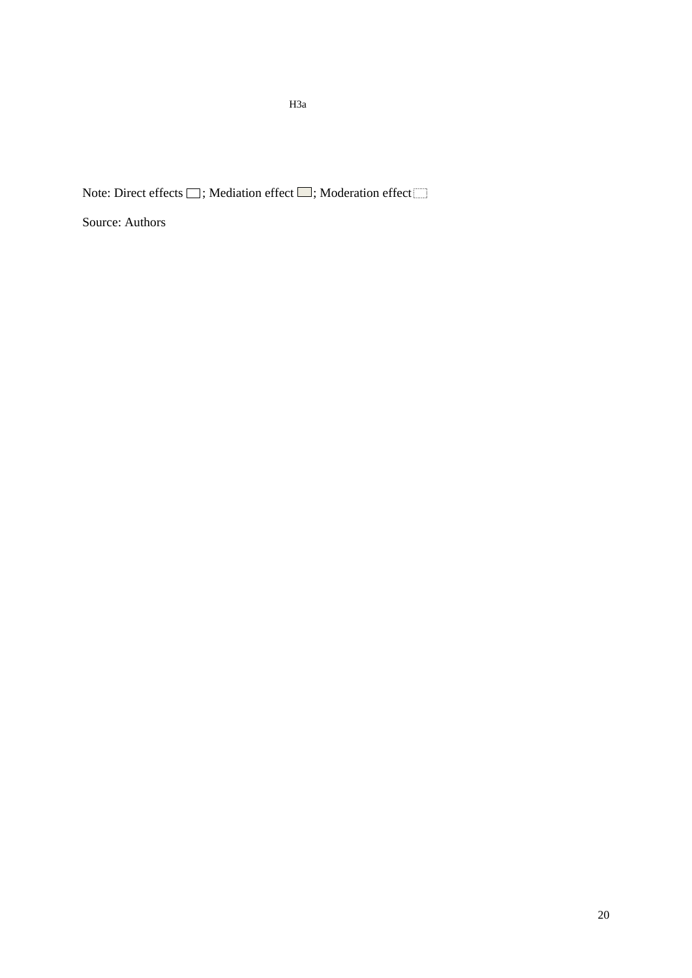Note: Direct effects  $\Box$ ; Mediation effect  $\Box$ ; Moderation effect

Source: Authors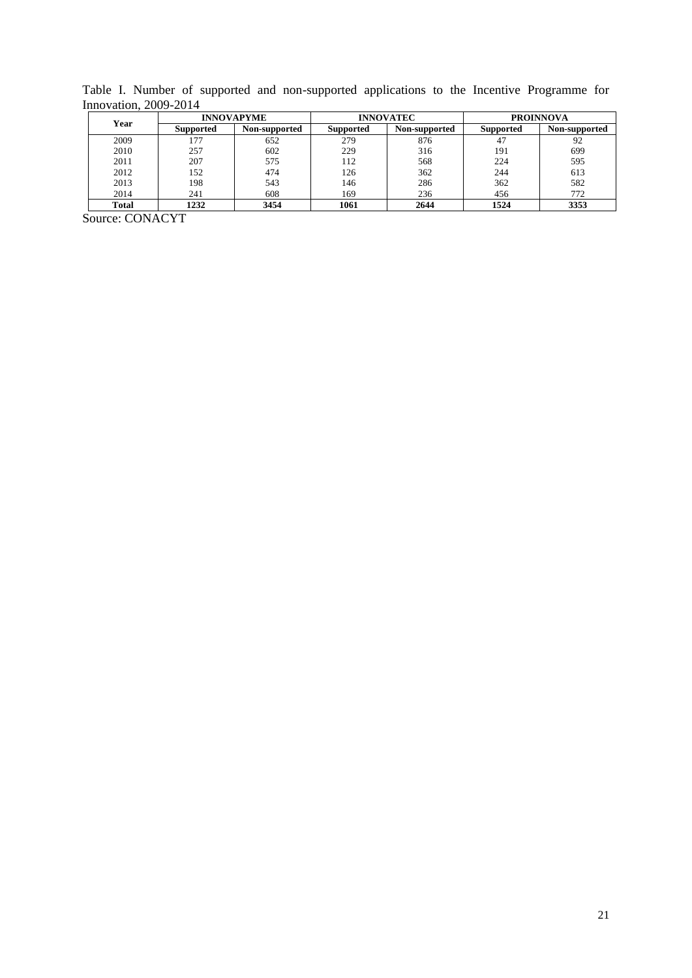Table I. Number of supported and non-supported applications to the Incentive Programme for Innovation, 2009-2014

| Year  |                  | <b>INNOVAPYME</b> |                  | <b>INNOVATEC</b> | <b>PROINNOVA</b> |               |  |
|-------|------------------|-------------------|------------------|------------------|------------------|---------------|--|
|       | <b>Supported</b> | Non-supported     | <b>Supported</b> | Non-supported    | <b>Supported</b> | Non-supported |  |
| 2009  | 177              | 652               | 279              | 876              | 47               | 92            |  |
| 2010  | 257              | 602               | 229              | 316              | 191              | 699           |  |
| 2011  | 207              | 575               | 112              | 568              | 224              | 595           |  |
| 2012  | 152              | 474               | 126              | 362              | 244              | 613           |  |
| 2013  | 198              | 543               | 146              | 286              | 362              | 582           |  |
| 2014  | 241              | 608               | 169              | 236              | 456              | 772           |  |
| Total | 1232             | 3454              | 1061             | 2644             | 1524             | 3353          |  |

Source: CONACYT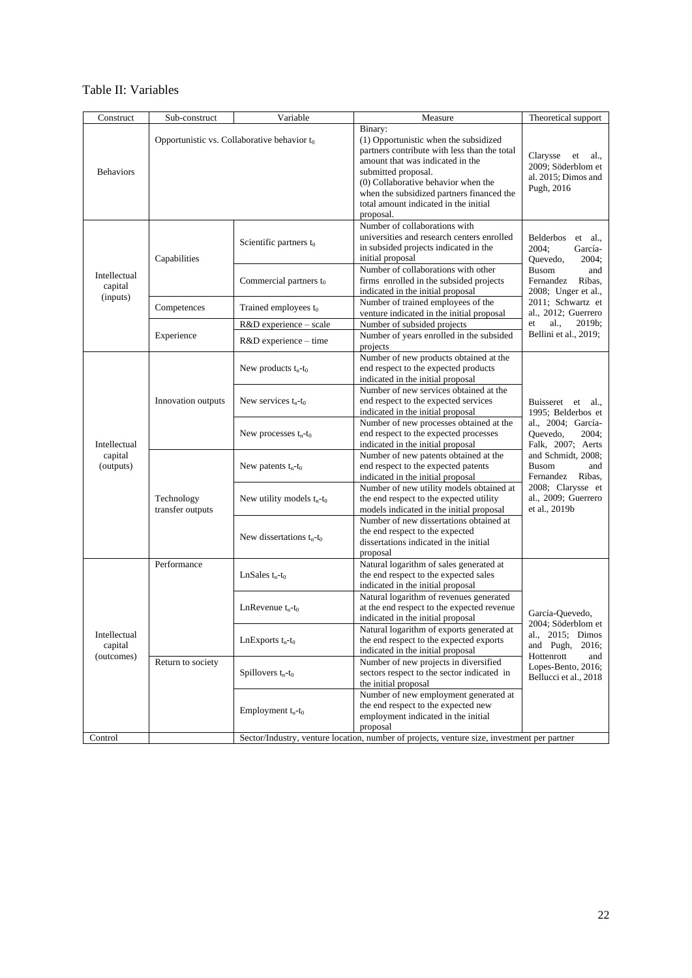## Table II: Variables

| Construct                             | Sub-construct                                                                               | Variable                     | Measure                                                                                                                                                                                                                                                                                               | Theoretical support                                                                                                                                                         |  |  |  |  |  |  |
|---------------------------------------|---------------------------------------------------------------------------------------------|------------------------------|-------------------------------------------------------------------------------------------------------------------------------------------------------------------------------------------------------------------------------------------------------------------------------------------------------|-----------------------------------------------------------------------------------------------------------------------------------------------------------------------------|--|--|--|--|--|--|
| <b>Behaviors</b>                      | Opportunistic vs. Collaborative behavior $t_0$                                              |                              | Binary:<br>(1) Opportunistic when the subsidized<br>partners contribute with less than the total<br>amount that was indicated in the<br>submitted proposal.<br>(0) Collaborative behavior when the<br>when the subsidized partners financed the<br>total amount indicated in the initial<br>proposal. | Clarysse<br>al.,<br>et<br>2009; Söderblom et<br>al. 2015; Dimos and<br>Pugh, 2016                                                                                           |  |  |  |  |  |  |
|                                       | Capabilities                                                                                | Scientific partners $t_0$    | <b>Belderbos</b><br>$et \, al.,$<br>2004;<br>García-<br>2004;<br>Quevedo,                                                                                                                                                                                                                             |                                                                                                                                                                             |  |  |  |  |  |  |
| Intellectual<br>capital<br>(inputs)   |                                                                                             | Commercial partners $t_0$    | Number of collaborations with other<br>firms enrolled in the subsided projects<br>indicated in the initial proposal                                                                                                                                                                                   | <b>Busom</b><br>and<br>Fernandez<br>Ribas,<br>2008; Unger et al.,                                                                                                           |  |  |  |  |  |  |
|                                       | Competences                                                                                 | Trained employees $t_0$      | Number of trained employees of the<br>venture indicated in the initial proposal                                                                                                                                                                                                                       | 2011; Schwartz et<br>al., 2012; Guerrero                                                                                                                                    |  |  |  |  |  |  |
|                                       |                                                                                             | R&D experience - scale       | Number of subsided projects                                                                                                                                                                                                                                                                           | al.,<br>$2019b$ ;<br>et                                                                                                                                                     |  |  |  |  |  |  |
|                                       | Experience                                                                                  | R&D experience - time        | Number of years enrolled in the subsided<br>projects                                                                                                                                                                                                                                                  | Bellini et al., 2019;                                                                                                                                                       |  |  |  |  |  |  |
|                                       |                                                                                             | New products $t_n-t_0$       | Number of new products obtained at the<br>end respect to the expected products<br>indicated in the initial proposal                                                                                                                                                                                   |                                                                                                                                                                             |  |  |  |  |  |  |
|                                       | Innovation outputs                                                                          | New services $t_n-t_0$       | Number of new services obtained at the<br>end respect to the expected services<br>indicated in the initial proposal                                                                                                                                                                                   | Buisseret et<br>al.,<br>1995; Belderbos et<br>al., 2004; García-<br>Quevedo,<br>2004:<br>Falk, 2007; Aerts<br>and Schmidt, 2008;<br><b>Busom</b><br>and<br>Fernandez Ribas, |  |  |  |  |  |  |
| Intellectual                          |                                                                                             | New processes $t_n-t_0$      | Number of new processes obtained at the<br>end respect to the expected processes<br>indicated in the initial proposal                                                                                                                                                                                 |                                                                                                                                                                             |  |  |  |  |  |  |
| capital<br>(outputs)                  | Technology<br>transfer outputs                                                              | New patents $t_n-t_0$        | Number of new patents obtained at the<br>end respect to the expected patents<br>indicated in the initial proposal                                                                                                                                                                                     |                                                                                                                                                                             |  |  |  |  |  |  |
|                                       |                                                                                             | New utility models $t_n-t_0$ | Number of new utility models obtained at<br>the end respect to the expected utility<br>models indicated in the initial proposal                                                                                                                                                                       | 2008; Clarysse et<br>al., 2009; Guerrero<br>et al., 2019b                                                                                                                   |  |  |  |  |  |  |
|                                       |                                                                                             | New dissertations $t_n-t_0$  | Number of new dissertations obtained at<br>the end respect to the expected<br>dissertations indicated in the initial<br>proposal                                                                                                                                                                      |                                                                                                                                                                             |  |  |  |  |  |  |
|                                       | Performance                                                                                 | LnSales $t_n-t_0$            | Natural logarithm of sales generated at<br>the end respect to the expected sales<br>indicated in the initial proposal                                                                                                                                                                                 |                                                                                                                                                                             |  |  |  |  |  |  |
| Intellectual<br>capital<br>(outcomes) |                                                                                             | LnRevenue $t_n-t_0$          | Natural logarithm of revenues generated<br>at the end respect to the expected revenue<br>indicated in the initial proposal                                                                                                                                                                            | García-Quevedo,                                                                                                                                                             |  |  |  |  |  |  |
|                                       |                                                                                             | LnExports $t_n-t_0$          | Natural logarithm of exports generated at<br>the end respect to the expected exports<br>indicated in the initial proposal                                                                                                                                                                             | 2004; Söderblom et<br>al., 2015; Dimos<br>2016;<br>and Pugh,<br>Hottenrott<br>and                                                                                           |  |  |  |  |  |  |
|                                       | Return to society                                                                           | Spillovers $t_n-t_0$         | Number of new projects in diversified<br>sectors respect to the sector indicated in<br>the initial proposal                                                                                                                                                                                           | Lopes-Bento, 2016;<br>Bellucci et al., 2018                                                                                                                                 |  |  |  |  |  |  |
|                                       |                                                                                             | Employment $t_n-t_0$         | Number of new employment generated at<br>the end respect to the expected new<br>employment indicated in the initial<br>proposal                                                                                                                                                                       |                                                                                                                                                                             |  |  |  |  |  |  |
| Control                               | Sector/Industry, venture location, number of projects, venture size, investment per partner |                              |                                                                                                                                                                                                                                                                                                       |                                                                                                                                                                             |  |  |  |  |  |  |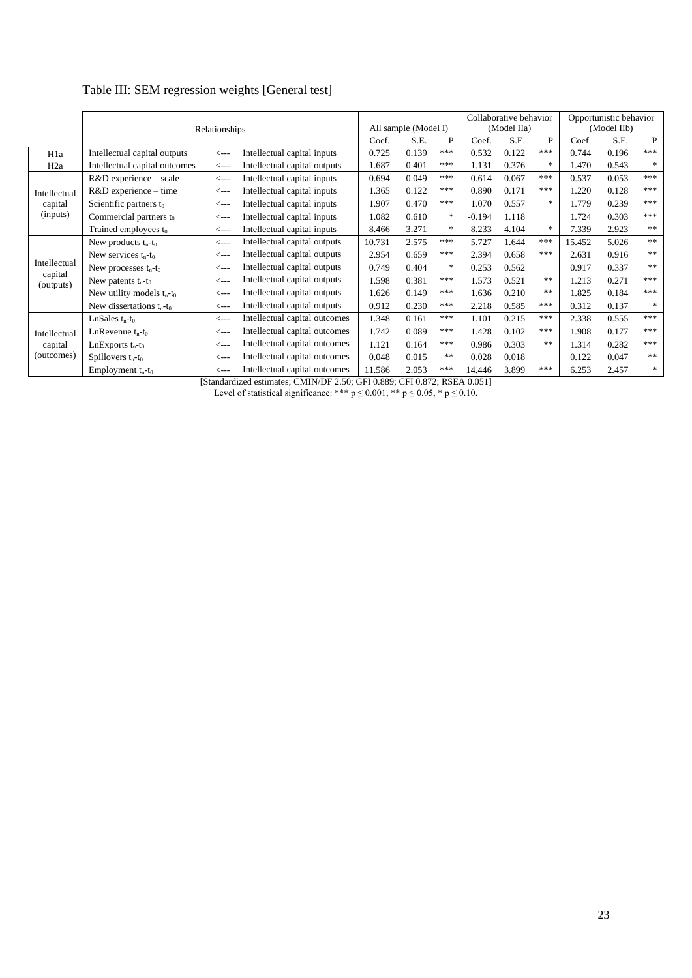## Table III: SEM regression weights [General test]

|                      | Relationships                 |                  |                               | All sample (Model I) |       |        | Collaborative behavior<br>(Model IIa) |       |               | Opportunistic behavior<br>(Model IIb) |       |               |
|----------------------|-------------------------------|------------------|-------------------------------|----------------------|-------|--------|---------------------------------------|-------|---------------|---------------------------------------|-------|---------------|
|                      | Coef.                         |                  |                               |                      | S.E.  | P      | Coef.                                 | S.E.  | P             | Coef.                                 | S.E.  | $\mathbf{P}$  |
| H <sub>1</sub> a     | Intellectual capital outputs  | $\leftarrow$ --  | Intellectual capital inputs   | 0.725                | 0.139 | ***    | 0.532                                 | 0.122 | ***           | 0.744                                 | 0.196 | ***           |
| H <sub>2</sub> a     | Intellectual capital outcomes | $\leftarrow$ --  | Intellectual capital outputs  | 1.687                | 0.401 | ***    | 1.131                                 | 0.376 | *             | 1.470                                 | 0.543 | ∗             |
|                      | R&D experience - scale        | $\leftarrow$ --  | Intellectual capital inputs   | 0.694                | 0.049 | ***    | 0.614                                 | 0.067 | ***           | 0.537                                 | 0.053 | ***           |
| Intellectual         | $R&D$ experience – time       | $\leftarrow$ --  | Intellectual capital inputs   | 1.365                | 0.122 | ***    | 0.890                                 | 0.171 | ***           | 1.220                                 | 0.128 | ***           |
| capital              | Scientific partners $t_0$     | $\leftarrow$ --  | Intellectual capital inputs   | 1.907                | 0.470 | ***    | 1.070                                 | 0.557 | *             | 1.779                                 | 0.239 | ***           |
| (inputs)             | Commercial partners $t_0$     | $\leftarrow$ --  | Intellectual capital inputs   | 1.082                | 0.610 | *      | $-0.194$                              | 1.118 |               | 1.724                                 | 0.303 | ***           |
|                      | Trained employees $t_0$       | $\leftarrow$ --  | Intellectual capital inputs   | 8.466                | 3.271 | *      | 8.233                                 | 4.104 | $\frac{1}{2}$ | 7.339                                 | 2.923 | $\gg \gg$     |
|                      | New products $t_n-t_0$        | $\leftarrow$ --  | Intellectual capital outputs  | 10.731               | 2.575 | ***    | 5.727                                 | 1.644 | ***           | 15.452                                | 5.026 | $\ast$        |
|                      | New services $t_n-t_0$        | $\leftarrow$ --- | Intellectual capital outputs  | 2.954                | 0.659 | ***    | 2.394                                 | 0.658 | ***           | 2.631                                 | 0.916 | $\ast$ $\ast$ |
| Intellectual         | New processes $t_n-t_0$       | $\leftarrow$ --  | Intellectual capital outputs  | 0.749                | 0.404 | $\ast$ | 0.253                                 | 0.562 |               | 0.917                                 | 0.337 | $\ast$ $\ast$ |
| capital<br>(outputs) | New patents $t_n-t_0$         | $\leftarrow$ --  | Intellectual capital outputs  | 1.598                | 0.381 | ***    | 1.573                                 | 0.521 | **            | 1.213                                 | 0.271 | ***           |
|                      | New utility models $t_n-t_0$  | $\leftarrow$ --  | Intellectual capital outputs  | 1.626                | 0.149 | ***    | 1.636                                 | 0.210 | **            | 1.825                                 | 0.184 | ***           |
|                      | New dissertations $t_n-t_0$   | $\leftarrow$ --- | Intellectual capital outputs  | 0.912                | 0.230 | ***    | 2.218                                 | 0.585 | ***           | 0.312                                 | 0.137 | $\frac{1}{2}$ |
|                      | LnSales $t_n-t_0$             | $\leftarrow$ --  | Intellectual capital outcomes | 1.348                | 0.161 | ***    | 1.101                                 | 0.215 | ***           | 2.338                                 | 0.555 | ***           |
| Intellectual         | LnRevenue $t_n-t_0$           | $\leftarrow$ --  | Intellectual capital outcomes | 1.742                | 0.089 | ***    | 1.428                                 | 0.102 | ***           | 1.908                                 | 0.177 | ***           |
| capital              | LnExports $t_n-t_0$           | $\leftarrow$ --  | Intellectual capital outcomes | 1.121                | 0.164 | ***    | 0.986                                 | 0.303 | **            | 1.314                                 | 0.282 | ***           |
| (outcomes)           | Spillovers $t_n-t_0$          | $\leftarrow$ --  | Intellectual capital outcomes | 0.048                | 0.015 | **     | 0.028                                 | 0.018 |               | 0.122                                 | 0.047 | $\ast$ $\ast$ |
|                      | Employment $t_n-t_0$          | $\leftarrow$ --- | Intellectual capital outcomes | 11.586               | 2.053 | ***    | 14.446                                | 3.899 | ***           | 6.253                                 | 2.457 | ∗             |

[Standardized estimates; CMIN/DF 2.50; GFI 0.889; CFI 0.872; RSEA 0.051]

Level of statistical significance: \*\*\*  $p \le 0.001$ , \*\*  $p \le 0.05$ , \*  $p \le 0.10$ .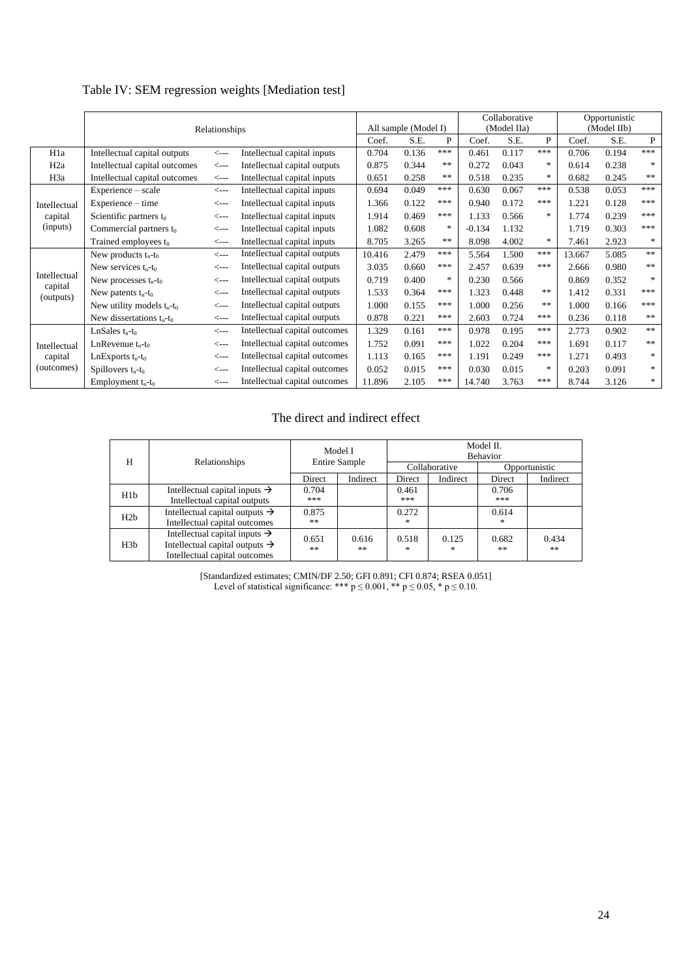## Table IV: SEM regression weights [Mediation test]

|                      | Relationships                 |                  |                                      |        | All sample (Model I) |               |          | Collaborative<br>(Model IIa) |               | Opportunistic<br>(Model IIb) |       |               |
|----------------------|-------------------------------|------------------|--------------------------------------|--------|----------------------|---------------|----------|------------------------------|---------------|------------------------------|-------|---------------|
|                      | Coef.                         |                  |                                      |        | S.E.                 | P             | Coef.    | S.E.                         | P             | Coef.                        | S.E.  | P             |
| H <sub>1</sub> a     | Intellectual capital outputs  | <---             | 0.704<br>Intellectual capital inputs |        | 0.136                | ***           | 0.461    | 0.117                        | ***           | 0.706                        | 0.194 | ***           |
| H <sub>2</sub> a     | Intellectual capital outcomes | <---             | Intellectual capital outputs         | 0.875  | 0.344                | **            | 0.272    | 0.043                        | $*$           | 0.614                        | 0.238 | $\ast$        |
| H <sub>3</sub> a     | Intellectual capital outcomes | <---             | Intellectual capital inputs          | 0.651  | 0.258                | $\ast$ $\ast$ | 0.518    | 0.235                        | $*$           | 0.682                        | 0.245 | **            |
|                      | Experience – scale            | $\leftarrow$ --- | Intellectual capital inputs          | 0.694  | 0.049                | ***           | 0.630    | 0.067                        | ***           | 0.538                        | 0.053 | ***           |
| Intellectual         | Experience – time             | <---             | Intellectual capital inputs          | 1.366  | 0.122                | ***           | 0.940    | 0.172                        | ***           | 1.221                        | 0.128 | ***           |
| capital              | Scientific partners to        | <---             | Intellectual capital inputs          | 1.914  | 0.469                | ***           | 1.133    | 0.566                        | $*$           | 1.774                        | 0.239 | ***           |
| (inputs)             | Commercial partners $t_0$     | <---             | Intellectual capital inputs          | 1.082  | 0.608                | $*$           | $-0.134$ | 1.132                        |               | 1.719                        | 0.303 | ***           |
|                      | Trained employees $t_0$       | <---             | Intellectual capital inputs          | 8.705  | 3.265                | $* *$         | 8.098    | 4.002                        | $\frac{1}{2}$ | 7.461                        | 2.923 | $\ast$        |
|                      | New products $t_n-t_0$        | $\leftarrow$ --- | Intellectual capital outputs         | 10.416 | 2.479                | ***           | 5.564    | 1.500                        | ***           | 13.667                       | 5.085 | $**$          |
|                      | New services $t_n-t_0$        | <---             | Intellectual capital outputs         | 3.035  | 0.660                | ***           | 2.457    | 0.639                        | ***           | 2.666                        | 0.980 | $\ast$ $\ast$ |
| Intellectual         | New processes $t_n-t_0$       | <---             | Intellectual capital outputs         | 0.719  | 0.400                | $*$           | 0.230    | 0.566                        |               | 0.869                        | 0.352 | $\ast$        |
| capital<br>(outputs) | New patents $t_n-t_0$         | <---             | Intellectual capital outputs         | 1.533  | 0.364                | ***           | 1.323    | 0.448                        | **            | 1.412                        | 0.331 | ***           |
|                      | New utility models $t_n-t_0$  | <---             | Intellectual capital outputs         | 1.000  | 0.155                | ***           | 1.000    | 0.256                        | **            | 1.000                        | 0.166 | ***           |
|                      | New dissertations $t_n-t_0$   | $\leftarrow$ --- | Intellectual capital outputs         | 0.878  | 0.221                | ***           | 2.603    | 0.724                        | ***           | 0.236                        | 0.118 | $\ast$        |
|                      | LnSales $t_n-t_0$             | <---             | Intellectual capital outcomes        | 1.329  | 0.161                | ***           | 0.978    | 0.195                        | ***           | 2.773                        | 0.902 | $\ast$        |
| Intellectual         | LnRevenue $t_n-t_0$           | <---             | Intellectual capital outcomes        | 1.752  | 0.091                | ***           | 1.022    | 0.204                        | ***           | 1.691                        | 0.117 | $\ast$ $\ast$ |
| capital              | LnExports $t_n-t_0$           | <---             | Intellectual capital outcomes        | 1.113  | 0.165                | ***           | 1.191    | 0.249                        | ***           | 1.271                        | 0.493 | $\ast$        |
| (outcomes)           | Spillovers $t_n-t_0$          | <---             | Intellectual capital outcomes        | 0.052  | 0.015                | ***           | 0.030    | 0.015                        | $*$           | 0.203                        | 0.091 | $\ast$        |
|                      | Employment $t_n-t_0$          | <---             | Intellectual capital outcomes        | 11.896 | 2.105                | ***           | 14.740   | 3.763                        | ***           | 8.744                        | 3.126 | $\ast$        |

## The direct and indirect effect

|                  |                                                                                                                          | Model I<br><b>Entire Sample</b> |             | Model II.<br>Behavior |                        |               |             |  |  |
|------------------|--------------------------------------------------------------------------------------------------------------------------|---------------------------------|-------------|-----------------------|------------------------|---------------|-------------|--|--|
| H                | Relationships                                                                                                            |                                 |             |                       | Collaborative          | Opportunistic |             |  |  |
|                  |                                                                                                                          | Direct                          | Indirect    | Direct                | Indirect               | Direct        | Indirect    |  |  |
| H1b              | Intellectual capital inputs $\rightarrow$<br>Intellectual capital outputs                                                | 0.704<br>***                    |             | 0.461<br>***          |                        | 0.706<br>***  |             |  |  |
| H2h              | Intellectual capital outputs $\rightarrow$<br>Intellectual capital outcomes                                              | 0.875<br>**                     |             | 0.272<br>*            |                        | 0.614<br>$*$  |             |  |  |
| H <sub>3</sub> b | Intellectual capital inputs $\rightarrow$<br>Intellectual capital outputs $\rightarrow$<br>Intellectual capital outcomes | 0.651<br>**                     | 0.616<br>** | 0.518<br>*            | 0.125<br>$\frac{1}{2}$ | 0.682<br>**   | 0.434<br>** |  |  |

[Standardized estimates; CMIN/DF 2.50; GFI 0.891; CFI 0.874; RSEA 0.051] Level of statistical significance: \*\*\*  $p \le 0.001$ , \*\*  $p \le 0.05$ , \*  $p \le 0.10$ .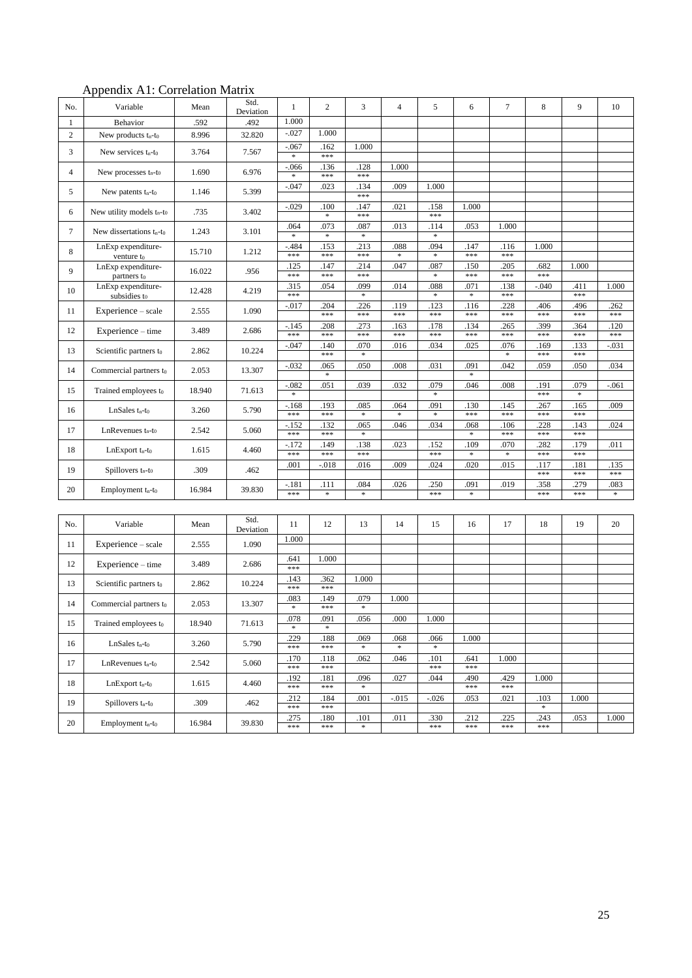## Appendix A1: Correlation Matrix

| No.    | Variable                                    | Mean   | Std.<br>Deviation | 1                                         | $\overline{c}$  | 3                                         | $\overline{4}$ | 5                     | 6             | $\boldsymbol{7}$ | 8              | 9              | 10          |
|--------|---------------------------------------------|--------|-------------------|-------------------------------------------|-----------------|-------------------------------------------|----------------|-----------------------|---------------|------------------|----------------|----------------|-------------|
| 1      | Behavior                                    | .592   | .492              | 1.000                                     |                 |                                           |                |                       |               |                  |                |                |             |
| 2      | New products t <sub>n</sub> -t <sub>0</sub> | 8.996  | 32.820            | $-.027$                                   | 1.000           |                                           |                |                       |               |                  |                |                |             |
|        |                                             | 3.764  |                   | $-.067$                                   | .162            | 1.000                                     |                |                       |               |                  |                |                |             |
| 3      | New services t <sub>n</sub> -t <sub>0</sub> |        | 7.567             | $\ast$                                    | $* * *$         |                                           |                |                       |               |                  |                |                |             |
| 4      | New processes $t_n-t_0$                     | 1.690  | 6.976             | .066<br>×.                                | .136<br>***     | .128<br>***                               | 1.000          |                       |               |                  |                |                |             |
|        |                                             |        |                   | $-0.047$                                  | .023            | .134                                      | .009           | 1.000                 |               |                  |                |                |             |
| 5      | New patents $t_n-t_0$                       | 1.146  | 5.399             |                                           |                 | ***                                       |                |                       |               |                  |                |                |             |
| 6      | New utility models $t_n-t_0$                | .735   | 3.402             | $-.029$                                   | .100            | .147                                      | .021           | .158                  | 1.000         |                  |                |                |             |
|        |                                             |        |                   |                                           | $\ast$          | ***                                       |                | ***                   |               |                  |                |                |             |
| 7      | New dissertations $t_n-t_0$                 | 1.243  | 3.101             | 064<br>\$                                 | .073<br>$\ast$  | .087<br>$\frac{d\mathbf{r}}{d\mathbf{r}}$ | .013           | 114<br>$\ast$         | .053          | 1.000            |                |                |             |
|        | LnExp expenditure-                          |        |                   | $-484$                                    | .153            | .213                                      | .088           | .094                  | .147          | .116             | 1.000          |                |             |
| 8      | venture to                                  | 15.710 | 1.212             | ***                                       | ***             | ***                                       |                |                       | ***           | ***              |                |                |             |
| 9      | LnExp expenditure-                          | 16.022 | .956              | .125                                      | .147            | .214                                      | .047           | .087                  | .150          | .205             | .682           | 1.000          |             |
|        | partners t <sub>0</sub>                     |        |                   | ***<br>.315                               | ***<br>.054     | ***<br>.099                               | .014           | $\frac{1}{2}$<br>.088 | ***<br>.071   | ***<br>.138      | ***<br>$-.040$ | .411           | 1.000       |
| 10     | LnExp expenditure-<br>subsidies to          | 12.428 | 4.219             | ***                                       |                 | $\ast$                                    |                | $\frac{1}{2}$         | $\ast$        | ***              |                | ***            |             |
|        |                                             |        |                   | $-017$                                    | .204            | .226                                      | .119           | .123                  | .116          | .228             | .406           | .496           | .262        |
| 11     | Experience - scale                          | 2.555  | 1.090             |                                           | ***             | ***                                       | ***            | ***                   | ***           | ***              | ***            | ***            | ***         |
| 12     | Experience – time                           | 3.489  | 2.686             | $-145$<br>***                             | .208<br>***     | .273<br>***                               | .163<br>***    | .178<br>***           | .134<br>***   | .265<br>***      | .399<br>***    | .364<br>***    | .120<br>*** |
|        |                                             |        |                   | $-0.047$                                  | .140            | .070                                      | .016           | .034                  | .025          | .076             | .169           | .133           | $-031$      |
| 13     | Scientific partners to                      | 2.862  | 10.224            |                                           | $***$           | $\approx$                                 |                |                       |               | $\approx$        | ***            | ***            |             |
| 14     | Commercial partners to                      | 2.053  | 13.307            | $-0.032$                                  | .065            | .050                                      | .008           | .031                  | .091          | .042             | .059           | .050           | .034        |
|        |                                             |        |                   |                                           | $\frac{1}{2}$   |                                           |                |                       | $\frac{1}{2}$ |                  |                |                |             |
| 15     | Trained employees to                        | 18.940 | 71.613            | $-082$<br>$\ast$                          | .051            | .039                                      | .032           | .079<br>*             | .046          | .008             | .191<br>***    | .079<br>$\ast$ | $-.061$     |
|        |                                             |        |                   | $-.168$                                   | .193            | .085                                      | .064           | .091                  | .130          | .145             | .267           | .165           | .009        |
| 16     | $LnSales$ t <sub>n</sub> -t <sub>0</sub>    | 3.260  | 5.790             | ***                                       | $***$           | ş.                                        | ×.             |                       | ***           | ***              | ***            | ***            |             |
| 17     | LnRevenues $t_n-t_0$                        | 2.542  | 5.060             | $-152$                                    | .132            | .065                                      | .046           | .034                  | .068          | .106             | 228            | .143           | .024        |
|        |                                             |        |                   | ***                                       | ***             | $\frac{d\mathbf{r}}{d\mathbf{r}}$         |                |                       | $\ast$        | ***              | ***            | ***            |             |
| 18     | $LnExport$ t <sub>n</sub> -t <sub>0</sub>   | 1.615  | 4.460             | $-172$<br>***                             | 149<br>$***$    | .138<br>***                               | .023           | 152<br>***            | 109<br>$\ast$ | 070<br>$\ast$    | 282<br>$***$   | .179<br>***    | .011        |
|        |                                             |        |                   | .001                                      | $-.018$         | .016                                      | .009           | .024                  | .020          | .015             | .117           | .181           | .135        |
| 19     | Spillovers t <sub>n</sub> -t <sub>0</sub>   | .309   | .462              |                                           |                 |                                           |                |                       |               |                  | ***            | ***            | ***         |
| 20     | Employment $t_n-t_0$                        | 16.984 | 39.830            | $-.181$                                   | .111            | .084                                      | .026           | .250                  | .091          | .019             | 358            | .279           | .083        |
|        |                                             |        |                   | $* * *$                                   | $\ast$          | $\approx$                                 |                | $* * *$               | $\ast$        |                  | $* * *$        | ***            | $\ast$      |
|        |                                             |        |                   |                                           |                 |                                           |                |                       |               |                  |                |                |             |
| No.    | Variable                                    | Mean   | Std.<br>Deviation | 11                                        | 12              | 13                                        | 14             | 15                    | 16            | 17               | 18             | 19             | 20          |
|        |                                             |        |                   | 1.000                                     |                 |                                           |                |                       |               |                  |                |                |             |
| 11     | Experience - scale                          | 2.555  | 1.090             |                                           |                 |                                           |                |                       |               |                  |                |                |             |
| 12     | Experience - time                           | 3.489  | 2.686             | .641                                      | 1.000           |                                           |                |                       |               |                  |                |                |             |
|        |                                             |        |                   | ***                                       |                 |                                           |                |                       |               |                  |                |                |             |
| 13     | Scientific partners to                      | 2.862  | 10.224            | .143<br>***                               | .362<br>$* * *$ | 1.000                                     |                |                       |               |                  |                |                |             |
|        |                                             |        |                   | .083                                      | .149            | .079                                      | 1.000          |                       |               |                  |                |                |             |
| 14     | Commercial partners to                      | 2.053  | 13.307            | \$                                        | $* * *$         | ×                                         |                |                       |               |                  |                |                |             |
| 15     | Trained employees to                        | 18.940 | 71.613            | .078<br>$\frac{d\mathbf{r}}{d\mathbf{r}}$ | .091            | .056                                      | .000           | 1.000                 |               |                  |                |                |             |
|        |                                             |        |                   | .229                                      | $\ast$<br>.188  | .069                                      | .068           | .066                  | 1.000         |                  |                |                |             |
| $16\,$ | LnSales $t_n-t_0$                           | 3.260  | 5.790             | ***                                       | ***             |                                           |                |                       |               |                  |                |                |             |
|        |                                             | 2.542  |                   | .170                                      | .118            | .062                                      | .046           | .101                  | .641          | 1.000            |                |                |             |
| 17     | $Ln$ Revenues $t_n-t_0$                     |        | 5.060             | $* * *$                                   | $* * *$         |                                           |                | ***                   | ***           |                  |                |                |             |
| 18     | $LnExport$ t <sub>n</sub> -t <sub>0</sub>   | 1.615  | 4.460             | .192<br>***                               | .181<br>***     | .096<br>*                                 | .027           | .044                  | .490<br>***   | .429<br>***      | 1.000          |                |             |
|        |                                             |        |                   | .212                                      | .184            | .001                                      | $-.015$        | $-.026$               | .053          | .021             | .103           | 1.000          |             |
| 19     | Spillovers $t_n-t_0$                        | .309   | .462              | ***                                       | ***             |                                           |                |                       |               |                  |                |                |             |
| 20     | Employment $t_n-t_0$                        | 16.984 | 39.830            | .275                                      | .180            | .101                                      | .011           | .330                  | .212          | .225             | .243           | .053           | 1.000       |
|        |                                             |        |                   | ***                                       | $***$           | $\ast$                                    |                | ***                   | ***           | ***              | $***$          |                |             |